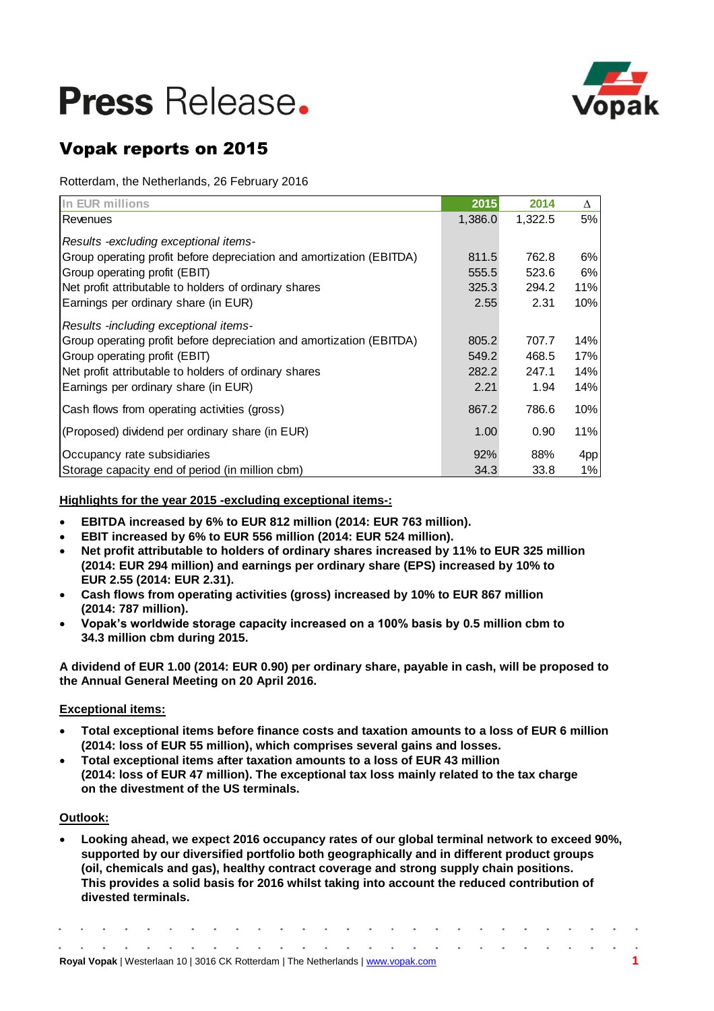

## Vopak reports on 2015

Rotterdam, the Netherlands, 26 February 2016

| In EUR millions                                                      | 2015    | 2014    | $\Lambda$ |
|----------------------------------------------------------------------|---------|---------|-----------|
| Revenues                                                             | 1,386.0 | 1,322.5 | 5%        |
| Results -excluding exceptional items-                                |         |         |           |
| Group operating profit before depreciation and amortization (EBITDA) | 811.5   | 762.8   | 6%        |
| Group operating profit (EBIT)                                        | 555.5   | 523.6   | 6%        |
| Net profit attributable to holders of ordinary shares                | 325.3   | 294.2   | 11%       |
| Earnings per ordinary share (in EUR)                                 | 2.55    | 2.31    | 10%       |
| Results -including exceptional items-                                |         |         |           |
| Group operating profit before depreciation and amortization (EBITDA) | 805.2   | 707.7   | 14%       |
| Group operating profit (EBIT)                                        | 549.2   | 468.5   | 17%       |
| Net profit attributable to holders of ordinary shares                | 282.2   | 247.1   | 14%       |
| Earnings per ordinary share (in EUR)                                 | 2.21    | 1.94    | 14%       |
| Cash flows from operating activities (gross)                         | 867.2   | 786.6   | 10%       |
| (Proposed) dividend per ordinary share (in EUR)                      | 1.00    | 0.90    | 11%       |
| Occupancy rate subsidiaries                                          | 92%     | 88%     | 4pp       |
| Storage capacity end of period (in million cbm)                      | 34.3    | 33.8    | 1%        |

**Highlights for the year 2015 -excluding exceptional items-:**

- **EBITDA increased by 6% to EUR 812 million (2014: EUR 763 million).**
- **EBIT increased by 6% to EUR 556 million (2014: EUR 524 million).**
- **Net profit attributable to holders of ordinary shares increased by 11% to EUR 325 million (2014: EUR 294 million) and earnings per ordinary share (EPS) increased by 10% to EUR 2.55 (2014: EUR 2.31).**
- **Cash flows from operating activities (gross) increased by 10% to EUR 867 million (2014: 787 million).**
- **Vopak's worldwide storage capacity increased on a 100% basis by 0.5 million cbm to 34.3 million cbm during 2015.**

**A dividend of EUR 1.00 (2014: EUR 0.90) per ordinary share, payable in cash, will be proposed to the Annual General Meeting on 20 April 2016.** 

## **Exceptional items:**

- **Total exceptional items before finance costs and taxation amounts to a loss of EUR 6 million (2014: loss of EUR 55 million), which comprises several gains and losses.**
- **Total exceptional items after taxation amounts to a loss of EUR 43 million (2014: loss of EUR 47 million). The exceptional tax loss mainly related to the tax charge on the divestment of the US terminals.**

## **Outlook:**

 **Looking ahead, we expect 2016 occupancy rates of our global terminal network to exceed 90%, supported by our diversified portfolio both geographically and in different product groups (oil, chemicals and gas), healthy contract coverage and strong supply chain positions. This provides a solid basis for 2016 whilst taking into account the reduced contribution of divested terminals.**

|  |  |  |  |  |  |  | <b>Royal Vopak</b>   Westerlaan 10   3016 CK Rotterdam   The Netherlands   www.vopak.com |  |  |  |  |  |  |
|--|--|--|--|--|--|--|------------------------------------------------------------------------------------------|--|--|--|--|--|--|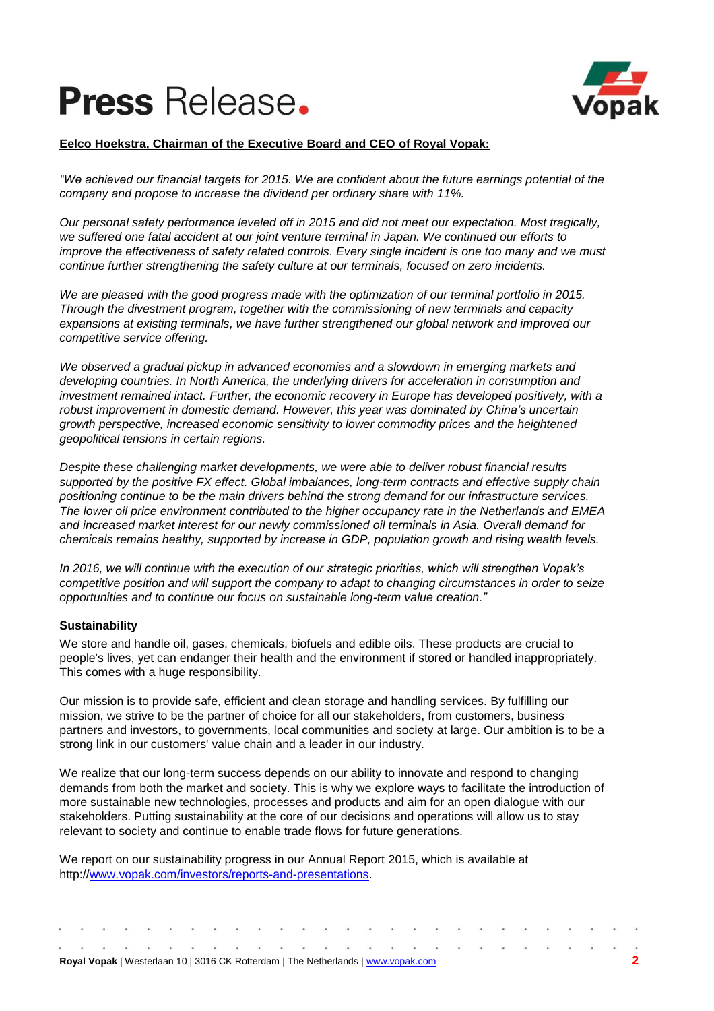

## **Eelco Hoekstra, Chairman of the Executive Board and CEO of Royal Vopak:**

*"We achieved our financial targets for 2015. We are confident about the future earnings potential of the company and propose to increase the dividend per ordinary share with 11%.* 

*Our personal safety performance leveled off in 2015 and did not meet our expectation. Most tragically, we suffered one fatal accident at our joint venture terminal in Japan. We continued our efforts to improve the effectiveness of safety related controls. Every single incident is one too many and we must continue further strengthening the safety culture at our terminals, focused on zero incidents.*

*We are pleased with the good progress made with the optimization of our terminal portfolio in 2015. Through the divestment program, together with the commissioning of new terminals and capacity expansions at existing terminals, we have further strengthened our global network and improved our competitive service offering.*

*We observed a gradual pickup in advanced economies and a slowdown in emerging markets and developing countries. In North America, the underlying drivers for acceleration in consumption and investment remained intact. Further, the economic recovery in Europe has developed positively, with a robust improvement in domestic demand. However, this year was dominated by China's uncertain growth perspective, increased economic sensitivity to lower commodity prices and the heightened geopolitical tensions in certain regions.*

*Despite these challenging market developments, we were able to deliver robust financial results supported by the positive FX effect. Global imbalances, long-term contracts and effective supply chain positioning continue to be the main drivers behind the strong demand for our infrastructure services. The lower oil price environment contributed to the higher occupancy rate in the Netherlands and EMEA and increased market interest for our newly commissioned oil terminals in Asia. Overall demand for chemicals remains healthy, supported by increase in GDP, population growth and rising wealth levels.* 

*In 2016, we will continue with the execution of our strategic priorities, which will strengthen Vopak's competitive position and will support the company to adapt to changing circumstances in order to seize opportunities and to continue our focus on sustainable long-term value creation."*

## **Sustainability**

We store and handle oil, gases, chemicals, biofuels and edible oils. These products are crucial to people's lives, yet can endanger their health and the environment if stored or handled inappropriately. This comes with a huge responsibility.

Our mission is to provide safe, efficient and clean storage and handling services. By fulfilling our mission, we strive to be the partner of choice for all our stakeholders, from customers, business partners and investors, to governments, local communities and society at large. Our ambition is to be a strong link in our customers' value chain and a leader in our industry.

We realize that our long-term success depends on our ability to innovate and respond to changing demands from both the market and society. This is why we explore ways to facilitate the introduction of more sustainable new technologies, processes and products and aim for an open dialogue with our stakeholders. Putting sustainability at the core of our decisions and operations will allow us to stay relevant to society and continue to enable trade flows for future generations.

We report on our sustainability progress in our Annual Report 2015, which is available at http:/[/www.vopak.com/](http://www.vopak.com/)investors/reports-and-presentations.

|  |  |  |  |  |  |  | <b>Royal Vopak</b>   Westerlaan 10   3016 CK Rotterdam   The Netherlands   www.vopak.com |  |  |  |  |  |  |
|--|--|--|--|--|--|--|------------------------------------------------------------------------------------------|--|--|--|--|--|--|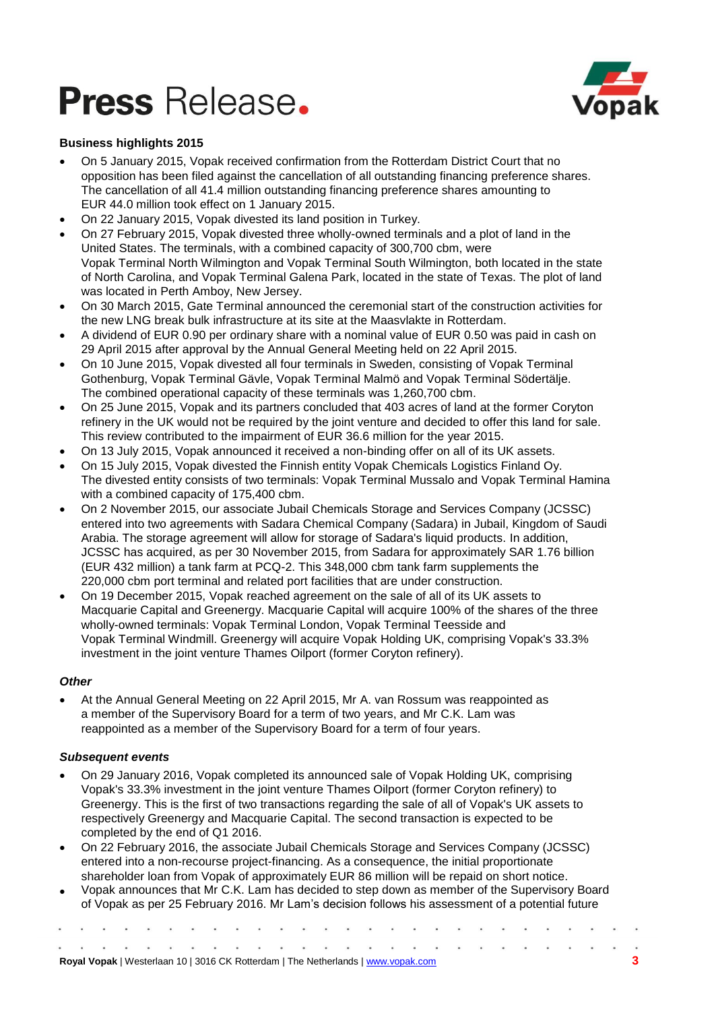

## **Business highlights 2015**

- On 5 January 2015, Vopak received confirmation from the Rotterdam District Court that no opposition has been filed against the cancellation of all outstanding financing preference shares. The cancellation of all 41.4 million outstanding financing preference shares amounting to EUR 44.0 million took effect on 1 January 2015.
- On 22 January 2015, Vopak divested its land position in Turkey.
- On 27 February 2015, Vopak divested three wholly-owned terminals and a plot of land in the United States. The terminals, with a combined capacity of 300,700 cbm, were Vopak Terminal North Wilmington and Vopak Terminal South Wilmington, both located in the state of North Carolina, and Vopak Terminal Galena Park, located in the state of Texas. The plot of land was located in Perth Amboy, New Jersey.
- On 30 March 2015, Gate Terminal announced the ceremonial start of the construction activities for the new LNG break bulk infrastructure at its site at the Maasvlakte in Rotterdam.
- A dividend of EUR 0.90 per ordinary share with a nominal value of EUR 0.50 was paid in cash on 29 April 2015 after approval by the Annual General Meeting held on 22 April 2015.
- On 10 June 2015, Vopak divested all four terminals in Sweden, consisting of Vopak Terminal Gothenburg, Vopak Terminal Gävle, Vopak Terminal Malmö and Vopak Terminal Södertälje. The combined operational capacity of these terminals was 1,260,700 cbm.
- On 25 June 2015, Vopak and its partners concluded that 403 acres of land at the former Coryton refinery in the UK would not be required by the joint venture and decided to offer this land for sale. This review contributed to the impairment of EUR 36.6 million for the year 2015.
- On 13 July 2015, Vopak announced it received a non-binding offer on all of its UK assets.
- On 15 July 2015, Vopak divested the Finnish entity Vopak Chemicals Logistics Finland Oy. The divested entity consists of two terminals: Vopak Terminal Mussalo and Vopak Terminal Hamina with a combined capacity of 175,400 cbm.
- On 2 November 2015, our associate Jubail Chemicals Storage and Services Company (JCSSC) entered into two agreements with Sadara Chemical Company (Sadara) in Jubail, Kingdom of Saudi Arabia. The storage agreement will allow for storage of Sadara's liquid products. In addition, JCSSC has acquired, as per 30 November 2015, from Sadara for approximately SAR 1.76 billion (EUR 432 million) a tank farm at PCQ-2. This 348,000 cbm tank farm supplements the 220,000 cbm port terminal and related port facilities that are under construction.
- On 19 December 2015, Vopak reached agreement on the sale of all of its UK assets to Macquarie Capital and Greenergy. Macquarie Capital will acquire 100% of the shares of the three wholly-owned terminals: Vopak Terminal London, Vopak Terminal Teesside and Vopak Terminal Windmill. Greenergy will acquire Vopak Holding UK, comprising Vopak's 33.3% investment in the joint venture Thames Oilport (former Coryton refinery).

## *Other*

 At the Annual General Meeting on 22 April 2015, Mr A. van Rossum was reappointed as a member of the Supervisory Board for a term of two years, and Mr C.K. Lam was reappointed as a member of the Supervisory Board for a term of four years.

## *Subsequent events*

- On 29 January 2016, Vopak completed its announced sale of Vopak Holding UK, comprising Vopak's 33.3% investment in the joint venture Thames Oilport (former Coryton refinery) to Greenergy. This is the first of two transactions regarding the sale of all of Vopak's UK assets to respectively Greenergy and Macquarie Capital. The second transaction is expected to be completed by the end of Q1 2016.
- On 22 February 2016, the associate Jubail Chemicals Storage and Services Company (JCSSC) entered into a non-recourse project-financing. As a consequence, the initial proportionate shareholder loan from Vopak of approximately EUR 86 million will be repaid on short notice.
- Vopak announces that Mr C.K. Lam has decided to step down as member of the Supervisory Board of Vopak as per 25 February 2016. Mr Lam's decision follows his assessment of a potential future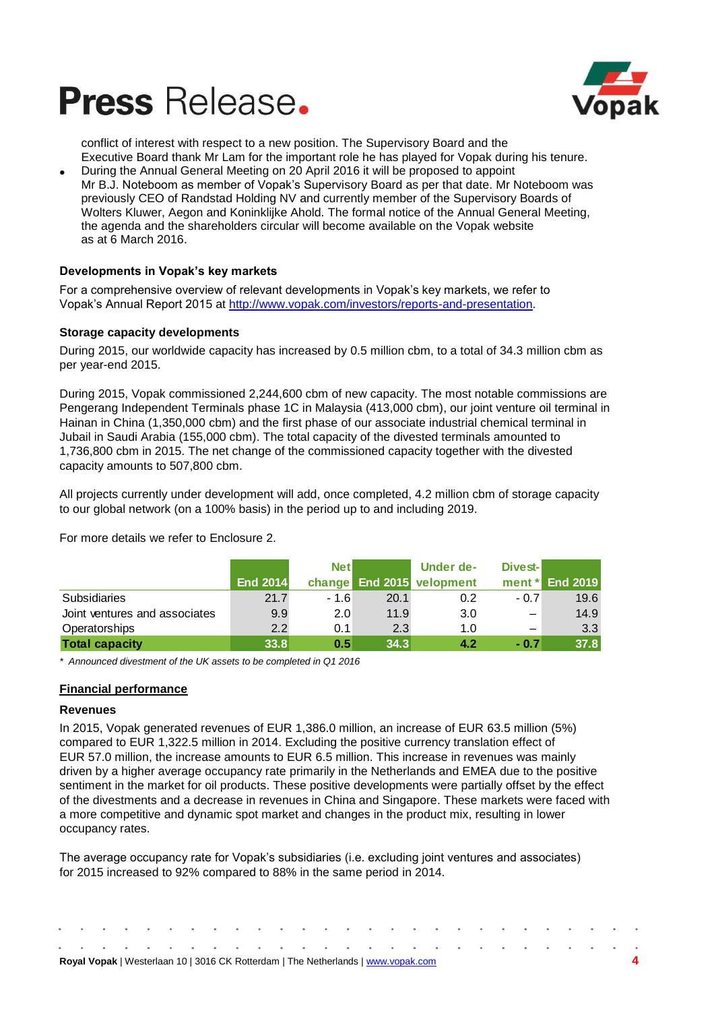



conflict of interest with respect to a new position. The Supervisory Board and the Executive Board thank Mr Lam for the important role he has played for Vopak during his tenure.

 During the Annual General Meeting on 20 April 2016 it will be proposed to appoint Mr B.J. Noteboom as member of Vopak's Supervisory Board as per that date. Mr Noteboom was previously CEO of Randstad Holding NV and currently member of the Supervisory Boards of Wolters Kluwer, Aegon and Koninklijke Ahold. The formal notice of the Annual General Meeting, the agenda and the shareholders circular will become available on the Vopak website as at 6 March 2016.

## **Developments in Vopak's key markets**

For a comprehensive overview of relevant developments in Vopak's key markets, we refer to Vopak's Annual Report 2015 at [http://www.vopak.com/investors/reports-and-presentation.](http://www.vopak.com/investors/reports-and-presentation)

### **Storage capacity developments**

During 2015, our worldwide capacity has increased by 0.5 million cbm, to a total of 34.3 million cbm as per year-end 2015.

During 2015, Vopak commissioned 2,244,600 cbm of new capacity. The most notable commissions are Pengerang Independent Terminals phase 1C in Malaysia (413,000 cbm), our joint venture oil terminal in Hainan in China (1,350,000 cbm) and the first phase of our associate industrial chemical terminal in Jubail in Saudi Arabia (155,000 cbm). The total capacity of the divested terminals amounted to 1,736,800 cbm in 2015. The net change of the commissioned capacity together with the divested capacity amounts to 507,800 cbm.

All projects currently under development will add, once completed, 4.2 million cbm of storage capacity to our global network (on a 100% basis) in the period up to and including 2019.

For more details we refer to Enclosure 2.

|                               |                 | <b>Net</b> |      | Under de-                 | Divest- |                 |
|-------------------------------|-----------------|------------|------|---------------------------|---------|-----------------|
|                               | <b>End 2014</b> |            |      | change End 2015 velopment |         | ment * End 2019 |
| Subsidiaries                  | 21.7            | $-1.6$     | 20.1 | 0.2                       | $-0.7$  | 19.6            |
| Joint ventures and associates | 9.9             | 2.0        | 11.9 | 3.0                       |         | 14.9            |
| Operatorships                 | 2.2             | 0.1        | 2.3  | 1.0                       |         | 3.3             |
| <b>Total capacity</b>         | 33.8            | 0.5        | 34.3 | 4.2                       | $-0.7$  | 37.8            |

*\* Announced divestment of the UK assets to be completed in Q1 2016*

### **Financial performance**

### **Revenues**

In 2015, Vopak generated revenues of EUR 1,386.0 million, an increase of EUR 63.5 million (5%) compared to EUR 1,322.5 million in 2014. Excluding the positive currency translation effect of EUR 57.0 million, the increase amounts to EUR 6.5 million. This increase in revenues was mainly driven by a higher average occupancy rate primarily in the Netherlands and EMEA due to the positive sentiment in the market for oil products. These positive developments were partially offset by the effect of the divestments and a decrease in revenues in China and Singapore. These markets were faced with a more competitive and dynamic spot market and changes in the product mix, resulting in lower occupancy rates.

The average occupancy rate for Vopak's subsidiaries (i.e. excluding joint ventures and associates) for 2015 increased to 92% compared to 88% in the same period in 2014.

|  |  |  |  |  |  |  | <b>Royal Vopak</b>   Westerlaan 10   3016 CK Rotterdam   The Netherlands   www.vopak.com |  |  |  |  |  |  |
|--|--|--|--|--|--|--|------------------------------------------------------------------------------------------|--|--|--|--|--|--|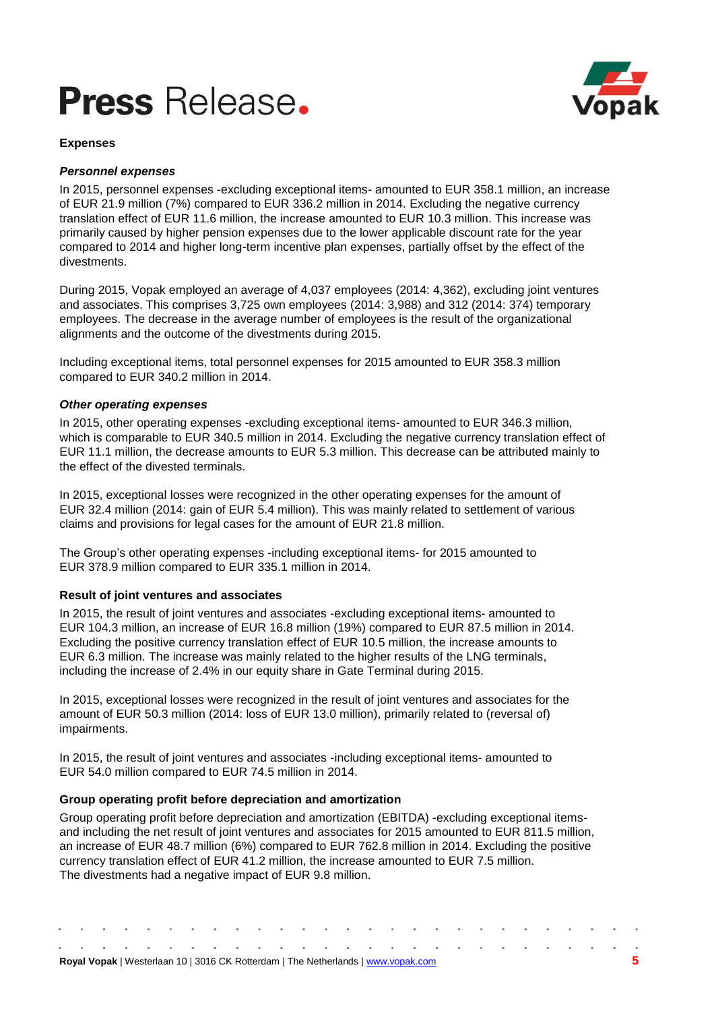

### **Expenses**

## *Personnel expenses*

In 2015, personnel expenses -excluding exceptional items- amounted to EUR 358.1 million, an increase of EUR 21.9 million (7%) compared to EUR 336.2 million in 2014. Excluding the negative currency translation effect of EUR 11.6 million, the increase amounted to EUR 10.3 million. This increase was primarily caused by higher pension expenses due to the lower applicable discount rate for the year compared to 2014 and higher long-term incentive plan expenses, partially offset by the effect of the divestments.

During 2015, Vopak employed an average of 4,037 employees (2014: 4,362), excluding joint ventures and associates. This comprises 3,725 own employees (2014: 3,988) and 312 (2014: 374) temporary employees. The decrease in the average number of employees is the result of the organizational alignments and the outcome of the divestments during 2015.

Including exceptional items, total personnel expenses for 2015 amounted to EUR 358.3 million compared to EUR 340.2 million in 2014.

## *Other operating expenses*

In 2015, other operating expenses -excluding exceptional items- amounted to EUR 346.3 million, which is comparable to EUR 340.5 million in 2014. Excluding the negative currency translation effect of EUR 11.1 million, the decrease amounts to EUR 5.3 million. This decrease can be attributed mainly to the effect of the divested terminals.

In 2015, exceptional losses were recognized in the other operating expenses for the amount of EUR 32.4 million (2014: gain of EUR 5.4 million). This was mainly related to settlement of various claims and provisions for legal cases for the amount of EUR 21.8 million.

The Group's other operating expenses -including exceptional items- for 2015 amounted to EUR 378.9 million compared to EUR 335.1 million in 2014.

## **Result of joint ventures and associates**

In 2015, the result of joint ventures and associates -excluding exceptional items- amounted to EUR 104.3 million, an increase of EUR 16.8 million (19%) compared to EUR 87.5 million in 2014. Excluding the positive currency translation effect of EUR 10.5 million, the increase amounts to EUR 6.3 million. The increase was mainly related to the higher results of the LNG terminals, including the increase of 2.4% in our equity share in Gate Terminal during 2015.

In 2015, exceptional losses were recognized in the result of joint ventures and associates for the amount of EUR 50.3 million (2014: loss of EUR 13.0 million), primarily related to (reversal of) impairments.

In 2015, the result of joint ventures and associates -including exceptional items- amounted to EUR 54.0 million compared to EUR 74.5 million in 2014.

## **Group operating profit before depreciation and amortization**

Group operating profit before depreciation and amortization (EBITDA) -excluding exceptional itemsand including the net result of joint ventures and associates for 2015 amounted to EUR 811.5 million, an increase of EUR 48.7 million (6%) compared to EUR 762.8 million in 2014. Excluding the positive currency translation effect of EUR 41.2 million, the increase amounted to EUR 7.5 million. The divestments had a negative impact of EUR 9.8 million.

| <b>Royal Vopak</b>   Westerlaan 10   3016 CK Rotterdam   The Netherlands   www.vopak.com |  |  |  |  |  |  |  |  |  |  |  |  |  |
|------------------------------------------------------------------------------------------|--|--|--|--|--|--|--|--|--|--|--|--|--|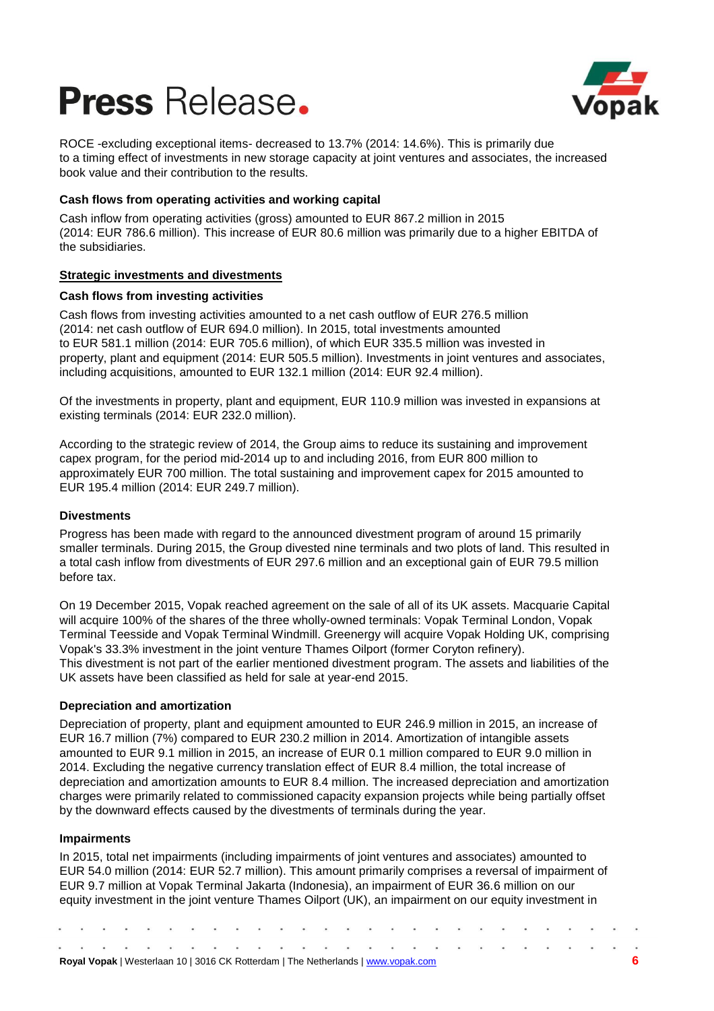

ROCE -excluding exceptional items- decreased to 13.7% (2014: 14.6%). This is primarily due to a timing effect of investments in new storage capacity at joint ventures and associates, the increased book value and their contribution to the results.

## **Cash flows from operating activities and working capital**

Cash inflow from operating activities (gross) amounted to EUR 867.2 million in 2015 (2014: EUR 786.6 million). This increase of EUR 80.6 million was primarily due to a higher EBITDA of the subsidiaries.

## **Strategic investments and divestments**

## **Cash flows from investing activities**

Cash flows from investing activities amounted to a net cash outflow of EUR 276.5 million (2014: net cash outflow of EUR 694.0 million). In 2015, total investments amounted to EUR 581.1 million (2014: EUR 705.6 million), of which EUR 335.5 million was invested in property, plant and equipment (2014: EUR 505.5 million). Investments in joint ventures and associates, including acquisitions, amounted to EUR 132.1 million (2014: EUR 92.4 million).

Of the investments in property, plant and equipment, EUR 110.9 million was invested in expansions at existing terminals (2014: EUR 232.0 million).

According to the strategic review of 2014, the Group aims to reduce its sustaining and improvement capex program, for the period mid-2014 up to and including 2016, from EUR 800 million to approximately EUR 700 million. The total sustaining and improvement capex for 2015 amounted to EUR 195.4 million (2014: EUR 249.7 million).

## **Divestments**

Progress has been made with regard to the announced divestment program of around 15 primarily smaller terminals. During 2015, the Group divested nine terminals and two plots of land. This resulted in a total cash inflow from divestments of EUR 297.6 million and an exceptional gain of EUR 79.5 million before tax.

On 19 December 2015, Vopak reached agreement on the sale of all of its UK assets. Macquarie Capital will acquire 100% of the shares of the three wholly-owned terminals: Vopak Terminal London, Vopak Terminal Teesside and Vopak Terminal Windmill. Greenergy will acquire Vopak Holding UK, comprising Vopak's 33.3% investment in the joint venture Thames Oilport (former Coryton refinery). This divestment is not part of the earlier mentioned divestment program. The assets and liabilities of the UK assets have been classified as held for sale at year-end 2015.

## **Depreciation and amortization**

Depreciation of property, plant and equipment amounted to EUR 246.9 million in 2015, an increase of EUR 16.7 million (7%) compared to EUR 230.2 million in 2014. Amortization of intangible assets amounted to EUR 9.1 million in 2015, an increase of EUR 0.1 million compared to EUR 9.0 million in 2014. Excluding the negative currency translation effect of EUR 8.4 million, the total increase of depreciation and amortization amounts to EUR 8.4 million. The increased depreciation and amortization charges were primarily related to commissioned capacity expansion projects while being partially offset by the downward effects caused by the divestments of terminals during the year.

## **Impairments**

In 2015, total net impairments (including impairments of joint ventures and associates) amounted to EUR 54.0 million (2014: EUR 52.7 million). This amount primarily comprises a reversal of impairment of EUR 9.7 million at Vopak Terminal Jakarta (Indonesia), an impairment of EUR 36.6 million on our equity investment in the joint venture Thames Oilport (UK), an impairment on our equity investment in

| Royal Vopak   Westerlaan 10   3016 CK Rotterdam   The Netherlands   www.vopak.com |  |  |  |  |  |  |  |  |  |  |  |  |  |  |  |  |  |  |  |  |
|-----------------------------------------------------------------------------------|--|--|--|--|--|--|--|--|--|--|--|--|--|--|--|--|--|--|--|--|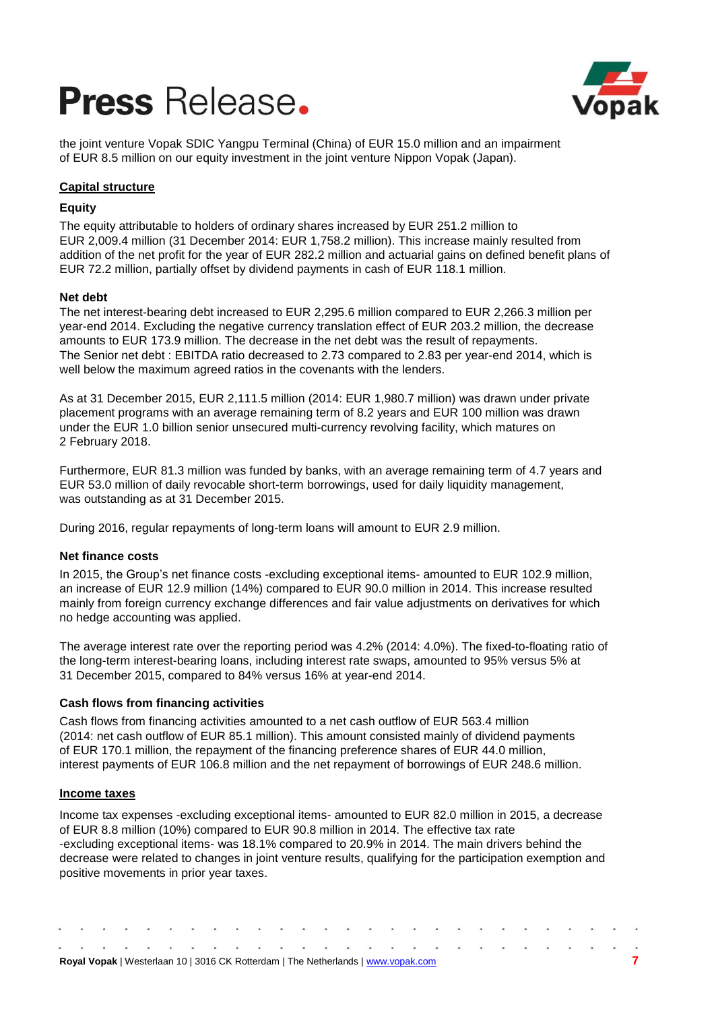

the joint venture Vopak SDIC Yangpu Terminal (China) of EUR 15.0 million and an impairment of EUR 8.5 million on our equity investment in the joint venture Nippon Vopak (Japan).

## **Capital structure**

## **Equity**

The equity attributable to holders of ordinary shares increased by EUR 251.2 million to EUR 2,009.4 million (31 December 2014: EUR 1,758.2 million). This increase mainly resulted from addition of the net profit for the year of EUR 282.2 million and actuarial gains on defined benefit plans of EUR 72.2 million, partially offset by dividend payments in cash of EUR 118.1 million.

## **Net debt**

The net interest-bearing debt increased to EUR 2,295.6 million compared to EUR 2,266.3 million per year-end 2014. Excluding the negative currency translation effect of EUR 203.2 million, the decrease amounts to EUR 173.9 million. The decrease in the net debt was the result of repayments. The Senior net debt : EBITDA ratio decreased to 2.73 compared to 2.83 per year-end 2014, which is well below the maximum agreed ratios in the covenants with the lenders.

As at 31 December 2015, EUR 2,111.5 million (2014: EUR 1,980.7 million) was drawn under private placement programs with an average remaining term of 8.2 years and EUR 100 million was drawn under the EUR 1.0 billion senior unsecured multi-currency revolving facility, which matures on 2 February 2018.

Furthermore, EUR 81.3 million was funded by banks, with an average remaining term of 4.7 years and EUR 53.0 million of daily revocable short-term borrowings, used for daily liquidity management, was outstanding as at 31 December 2015.

During 2016, regular repayments of long-term loans will amount to EUR 2.9 million.

## **Net finance costs**

In 2015, the Group's net finance costs -excluding exceptional items- amounted to EUR 102.9 million, an increase of EUR 12.9 million (14%) compared to EUR 90.0 million in 2014. This increase resulted mainly from foreign currency exchange differences and fair value adjustments on derivatives for which no hedge accounting was applied.

The average interest rate over the reporting period was 4.2% (2014: 4.0%). The fixed-to-floating ratio of the long-term interest-bearing loans, including interest rate swaps, amounted to 95% versus 5% at 31 December 2015, compared to 84% versus 16% at year-end 2014.

## **Cash flows from financing activities**

Cash flows from financing activities amounted to a net cash outflow of EUR 563.4 million (2014: net cash outflow of EUR 85.1 million). This amount consisted mainly of dividend payments of EUR 170.1 million, the repayment of the financing preference shares of EUR 44.0 million, interest payments of EUR 106.8 million and the net repayment of borrowings of EUR 248.6 million.

## **Income taxes**

Income tax expenses -excluding exceptional items- amounted to EUR 82.0 million in 2015, a decrease of EUR 8.8 million (10%) compared to EUR 90.8 million in 2014. The effective tax rate -excluding exceptional items- was 18.1% compared to 20.9% in 2014. The main drivers behind the decrease were related to changes in joint venture results, qualifying for the participation exemption and positive movements in prior year taxes.

|  |  |  |  |  |  |  | <b>Royal Vopak</b>   Westerlaan 10   3016 CK Rotterdam   The Netherlands   www.vopak.com |  |  |  |  |  |  |
|--|--|--|--|--|--|--|------------------------------------------------------------------------------------------|--|--|--|--|--|--|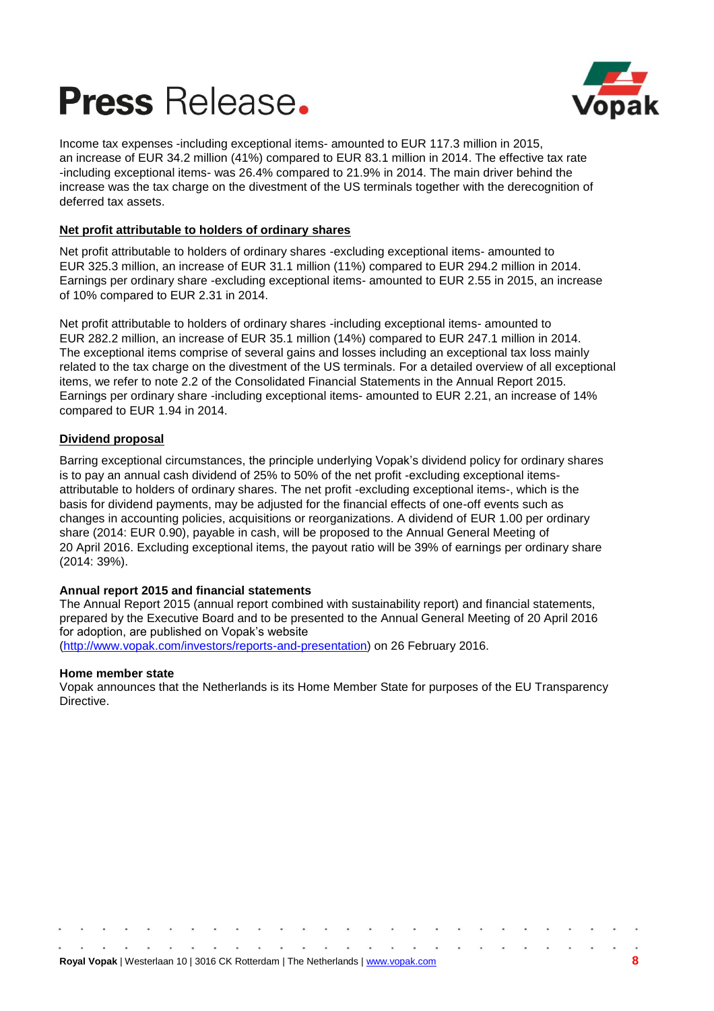



Income tax expenses -including exceptional items- amounted to EUR 117.3 million in 2015, an increase of EUR 34.2 million (41%) compared to EUR 83.1 million in 2014. The effective tax rate -including exceptional items- was 26.4% compared to 21.9% in 2014. The main driver behind the increase was the tax charge on the divestment of the US terminals together with the derecognition of deferred tax assets.

## **Net profit attributable to holders of ordinary shares**

Net profit attributable to holders of ordinary shares -excluding exceptional items- amounted to EUR 325.3 million, an increase of EUR 31.1 million (11%) compared to EUR 294.2 million in 2014. Earnings per ordinary share -excluding exceptional items- amounted to EUR 2.55 in 2015, an increase of 10% compared to EUR 2.31 in 2014.

Net profit attributable to holders of ordinary shares -including exceptional items- amounted to EUR 282.2 million, an increase of EUR 35.1 million (14%) compared to EUR 247.1 million in 2014. The exceptional items comprise of several gains and losses including an exceptional tax loss mainly related to the tax charge on the divestment of the US terminals. For a detailed overview of all exceptional items, we refer to note 2.2 of the Consolidated Financial Statements in the Annual Report 2015. Earnings per ordinary share -including exceptional items- amounted to EUR 2.21, an increase of 14% compared to EUR 1.94 in 2014.

## **Dividend proposal**

Barring exceptional circumstances, the principle underlying Vopak's dividend policy for ordinary shares is to pay an annual cash dividend of 25% to 50% of the net profit -excluding exceptional itemsattributable to holders of ordinary shares. The net profit -excluding exceptional items-, which is the basis for dividend payments, may be adjusted for the financial effects of one-off events such as changes in accounting policies, acquisitions or reorganizations. A dividend of EUR 1.00 per ordinary share (2014: EUR 0.90), payable in cash, will be proposed to the Annual General Meeting of 20 April 2016. Excluding exceptional items, the payout ratio will be 39% of earnings per ordinary share (2014: 39%).

## **Annual report 2015 and financial statements**

The Annual Report 2015 (annual report combined with sustainability report) and financial statements, prepared by the Executive Board and to be presented to the Annual General Meeting of 20 April 2016 for adoption, are published on Vopak's website [\(http://www.vopak.com/investors/reports-and-presentation\)](http://www.vopak.com/investors/reports-and-presentation) on 26 February 2016.

### **Home member state**

Vopak announces that the Netherlands is its Home Member State for purposes of the EU Transparency Directive.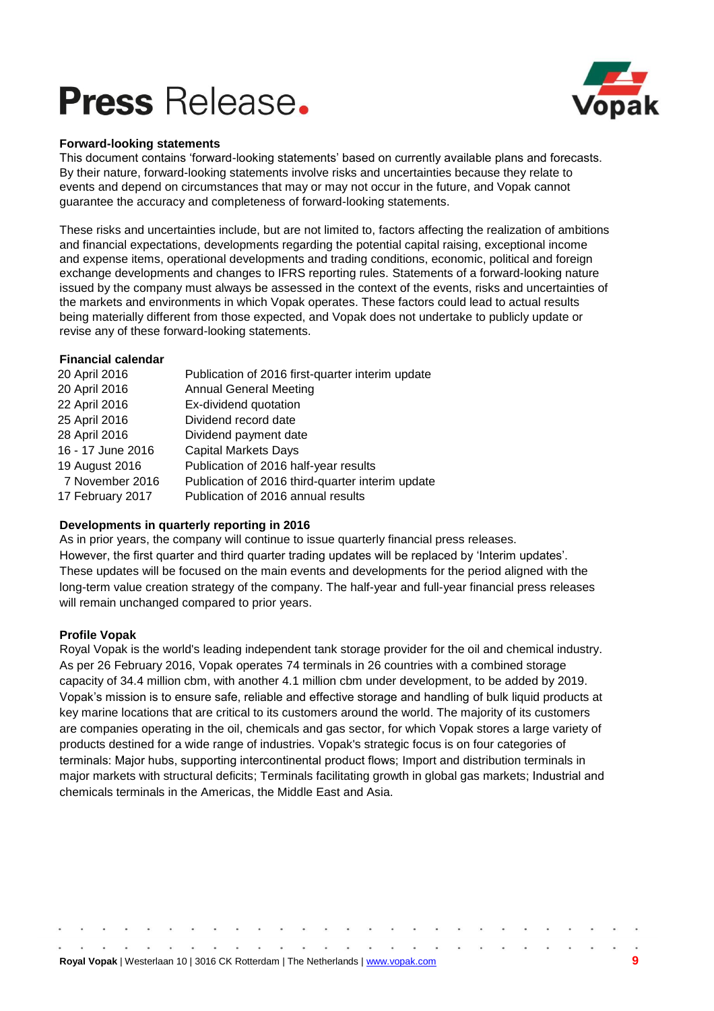

### **Forward-looking statements**

This document contains 'forward-looking statements' based on currently available plans and forecasts. By their nature, forward-looking statements involve risks and uncertainties because they relate to events and depend on circumstances that may or may not occur in the future, and Vopak cannot guarantee the accuracy and completeness of forward-looking statements.

These risks and uncertainties include, but are not limited to, factors affecting the realization of ambitions and financial expectations, developments regarding the potential capital raising, exceptional income and expense items, operational developments and trading conditions, economic, political and foreign exchange developments and changes to IFRS reporting rules. Statements of a forward-looking nature issued by the company must always be assessed in the context of the events, risks and uncertainties of the markets and environments in which Vopak operates. These factors could lead to actual results being materially different from those expected, and Vopak does not undertake to publicly update or revise any of these forward-looking statements.

### **Financial calendar**

| Publication of 2016 first-quarter interim update |
|--------------------------------------------------|
| <b>Annual General Meeting</b>                    |
| Ex-dividend quotation                            |
| Dividend record date                             |
| Dividend payment date                            |
| <b>Capital Markets Days</b>                      |
| Publication of 2016 half-year results            |
| Publication of 2016 third-quarter interim update |
| Publication of 2016 annual results               |
|                                                  |

## **Developments in quarterly reporting in 2016**

As in prior years, the company will continue to issue quarterly financial press releases. However, the first quarter and third quarter trading updates will be replaced by 'Interim updates'. These updates will be focused on the main events and developments for the period aligned with the long-term value creation strategy of the company. The half-year and full-year financial press releases will remain unchanged compared to prior years.

## **Profile Vopak**

Royal Vopak is the world's leading independent tank storage provider for the oil and chemical industry. As per 26 February 2016, Vopak operates 74 terminals in 26 countries with a combined storage capacity of 34.4 million cbm, with another 4.1 million cbm under development, to be added by 2019. Vopak's mission is to ensure safe, reliable and effective storage and handling of bulk liquid products at key marine locations that are critical to its customers around the world. The majority of its customers are companies operating in the oil, chemicals and gas sector, for which Vopak stores a large variety of products destined for a wide range of industries. Vopak's strategic focus is on four categories of terminals: Major hubs, supporting intercontinental product flows; Import and distribution terminals in major markets with structural deficits; Terminals facilitating growth in global gas markets; Industrial and chemicals terminals in the Americas, the Middle East and Asia.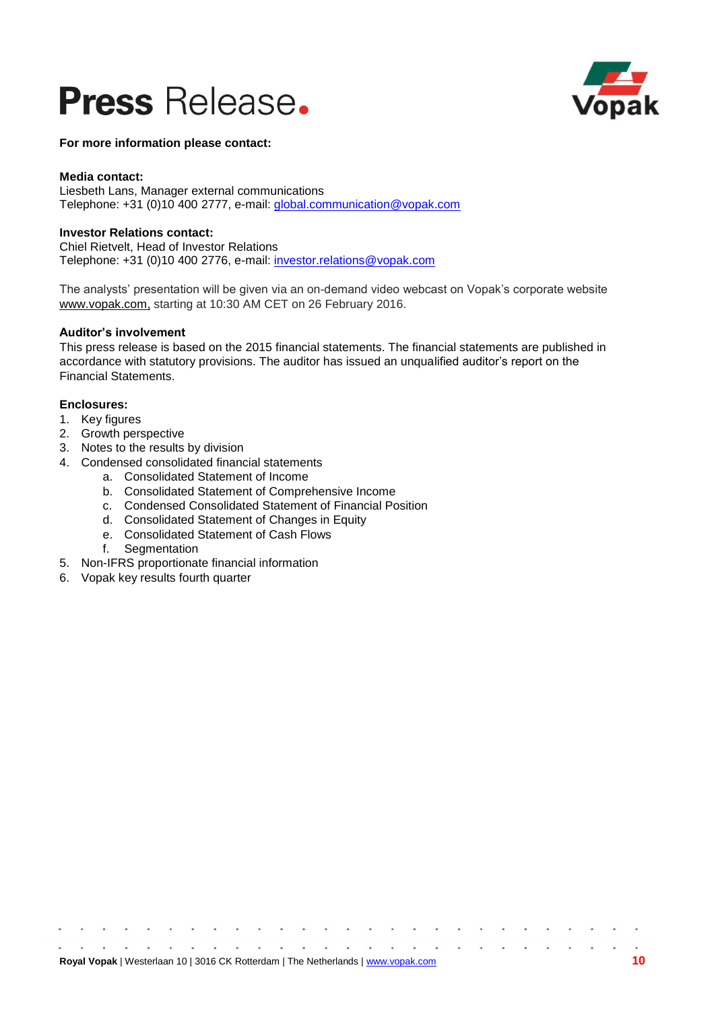



**For more information please contact:**

### **Media contact:**

Liesbeth Lans, Manager external communications Telephone: +31 (0)10 400 2777, e-mail: [global.communication@vopak.com](mailto:global.communication@vopak.com)

### **Investor Relations contact:**

Chiel Rietvelt, Head of Investor Relations Telephone: +31 (0)10 400 2776, e-mail: [investor.relations@vopak.com](mailto:investor.relations@vopak.com)

The analysts' presentation will be given via an on-demand video webcast on Vopak's corporate website [www.vopak.com,](http://www.vopak.com/) starting at 10:30 AM CET on 26 February 2016.

### **Auditor's involvement**

This press release is based on the 2015 financial statements. The financial statements are published in accordance with statutory provisions. The auditor has issued an unqualified auditor's report on the Financial Statements.

### **Enclosures:**

- 1. Key figures
- 2. Growth perspective
- 3. Notes to the results by division
- 4. Condensed consolidated financial statements
	- a. Consolidated Statement of Income
	- b. Consolidated Statement of Comprehensive Income
	- c. Condensed Consolidated Statement of Financial Position
	- d. Consolidated Statement of Changes in Equity
	- e. Consolidated Statement of Cash Flows
	- f. Segmentation
- 5. Non-IFRS proportionate financial information
- 6. Vopak key results fourth quarter

 $\begin{array}{ccc} \bullet & \bullet & \bullet \end{array}$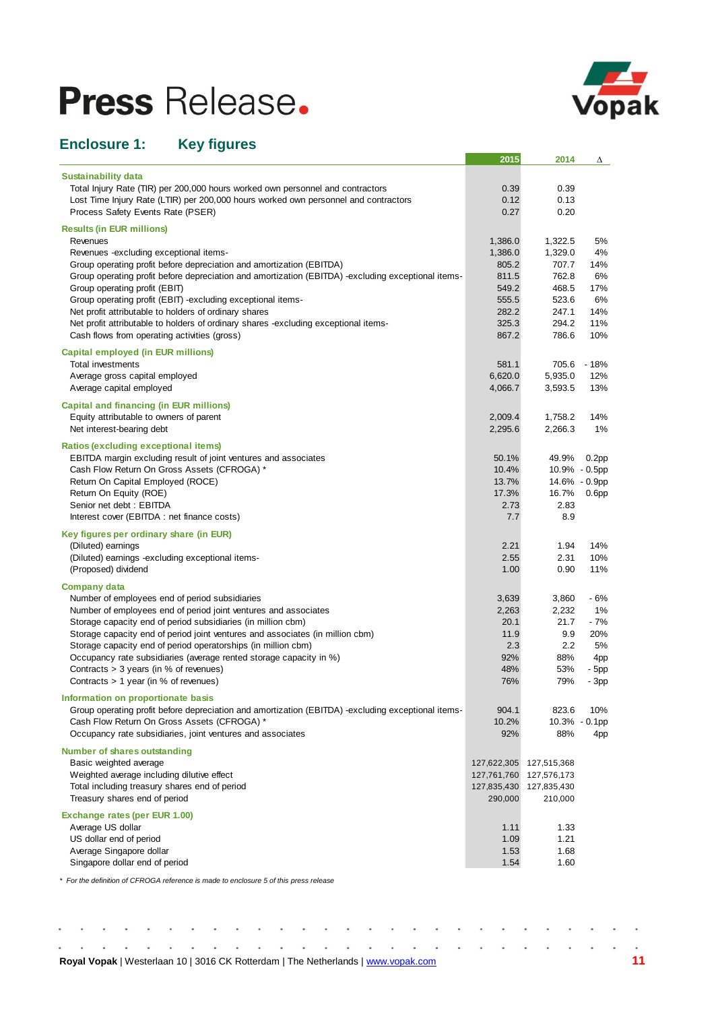

## **Enclosure 1: Key figures**

|                                                                                                                                                   | 2015                       | 2014                       | Δ                 |
|---------------------------------------------------------------------------------------------------------------------------------------------------|----------------------------|----------------------------|-------------------|
| <b>Sustainability data</b>                                                                                                                        |                            |                            |                   |
| Total Injury Rate (TIR) per 200,000 hours worked own personnel and contractors                                                                    | 0.39                       | 0.39                       |                   |
| Lost Time Injury Rate (LTIR) per 200,000 hours worked own personnel and contractors                                                               | 0.12                       | 0.13                       |                   |
| Process Safety Events Rate (PSER)                                                                                                                 | 0.27                       | 0.20                       |                   |
| <b>Results (in EUR millions)</b>                                                                                                                  |                            |                            |                   |
| Revenues                                                                                                                                          | 1,386.0                    | 1,322.5                    | 5%                |
| Revenues -excluding exceptional items-                                                                                                            | 1,386.0                    | 1,329.0                    | 4%                |
| Group operating profit before depreciation and amortization (EBITDA)                                                                              | 805.2                      | 707.7                      | 14%               |
| Group operating profit before depreciation and amortization (EBITDA) -excluding exceptional items-                                                | 811.5                      | 762.8                      | 6%                |
| Group operating profit (EBIT)                                                                                                                     | 549.2                      | 468.5                      | 17%               |
| Group operating profit (EBIT) -excluding exceptional items-                                                                                       | 555.5                      | 523.6                      | 6%                |
| Net profit attributable to holders of ordinary shares                                                                                             | 282.2                      | 247.1                      | 14%               |
| Net profit attributable to holders of ordinary shares -excluding exceptional items-                                                               | 325.3                      | 294.2                      | 11%               |
| Cash flows from operating activities (gross)                                                                                                      | 867.2                      | 786.6                      | 10%               |
| <b>Capital employed (in EUR millions)</b><br>Total investments                                                                                    | 581.1                      | 705.6                      | $-18%$            |
| Average gross capital employed                                                                                                                    | 6,620.0                    | 5,935.0                    | 12%               |
| Average capital employed                                                                                                                          | 4,066.7                    | 3,593.5                    | 13%               |
|                                                                                                                                                   |                            |                            |                   |
| <b>Capital and financing (in EUR millions)</b>                                                                                                    |                            |                            |                   |
| Equity attributable to owners of parent<br>Net interest-bearing debt                                                                              | 2,009.4<br>2,295.6         | 1,758.2<br>2,266.3         | 14%<br>1%         |
|                                                                                                                                                   |                            |                            |                   |
| Ratios (excluding exceptional items)                                                                                                              |                            |                            |                   |
| EBITDA margin excluding result of joint ventures and associates                                                                                   | 50.1%                      | 49.9%                      | 0.2 <sub>pp</sub> |
| Cash Flow Return On Gross Assets (CFROGA) *                                                                                                       | 10.4%                      |                            | 10.9% - 0.5pp     |
| Return On Capital Employed (ROCE)<br>Return On Equity (ROE)                                                                                       | 13.7%<br>17.3%             | 16.7%                      | 14.6% - 0.9pp     |
| Senior net debt: EBITDA                                                                                                                           | 2.73                       | 2.83                       | 0.6 <sub>pp</sub> |
| Interest cover (EBITDA : net finance costs)                                                                                                       | 7.7                        | 8.9                        |                   |
| Key figures per ordinary share (in EUR)                                                                                                           |                            |                            |                   |
| (Diluted) earnings                                                                                                                                | 2.21                       | 1.94                       | 14%               |
| (Diluted) earnings -excluding exceptional items-                                                                                                  | 2.55                       | 2.31                       | 10%               |
| (Proposed) dividend                                                                                                                               | 1.00                       | 0.90                       | 11%               |
| <b>Company data</b>                                                                                                                               |                            |                            |                   |
| Number of employees end of period subsidiaries                                                                                                    | 3,639                      | 3,860                      | - 6%              |
| Number of employees end of period joint ventures and associates                                                                                   | 2,263                      | 2,232                      | 1%                |
| Storage capacity end of period subsidiaries (in million cbm)                                                                                      | 20.1                       | 21.7                       | $-7%$             |
| Storage capacity end of period joint ventures and associates (in million cbm)                                                                     | 11.9                       | 9.9                        | 20%               |
| Storage capacity end of period operatorships (in million cbm)                                                                                     | 2.3                        | 2.2                        | 5%                |
| Occupancy rate subsidiaries (average rented storage capacity in %)                                                                                | 92%                        | 88%                        | 4pp               |
| Contracts $>$ 3 years (in % of revenues)                                                                                                          | 48%                        | 53%                        | - 5pp             |
| Contracts $> 1$ year (in % of revenues)                                                                                                           | 76%                        | 79%                        | - 3pp             |
| Information on proportionate basis                                                                                                                |                            |                            |                   |
| Group operating profit before depreciation and amortization (EBITDA) -excluding exceptional items-<br>Cash Flow Return On Gross Assets (CFROGA) * | 904.1                      | 823.6                      | 10%               |
| Occupancy rate subsidiaries, joint ventures and associates                                                                                        | 10.2%<br>92%               | 88%                        | 10.3% - 0.1pp     |
|                                                                                                                                                   |                            |                            | 4pp               |
| <b>Number of shares outstanding</b><br>Basic weighted average                                                                                     |                            |                            |                   |
| Weighted average including dilutive effect                                                                                                        | 127,622,305<br>127,761,760 | 127,515,368<br>127,576,173 |                   |
| Total including treasury shares end of period                                                                                                     | 127,835,430                | 127,835,430                |                   |
| Treasury shares end of period                                                                                                                     | 290,000                    | 210,000                    |                   |
| <b>Exchange rates (per EUR 1.00)</b>                                                                                                              |                            |                            |                   |
| Average US dollar                                                                                                                                 | 1.11                       | 1.33                       |                   |
| US dollar end of period                                                                                                                           | 1.09                       | 1.21                       |                   |
| Average Singapore dollar                                                                                                                          | 1.53                       | 1.68                       |                   |
| Singapore dollar end of period                                                                                                                    | 1.54                       | 1.60                       |                   |
| * For the definition of CFROGA reference is made to enclosure 5 of this press release                                                             |                            |                            |                   |

 $\bullet$  $\alpha$  $\sim$  $\begin{array}{cccccccccc} \bullet & \bullet & \bullet & \bullet & \bullet & \bullet \end{array}$  $\alpha$  ,  $\alpha$  $\ddot{\phantom{a}}$  $\bullet$  $\hat{\mathbf{z}}$  $\bullet$  $\bullet$ **Royal Vopak** | Westerlaan 10 | 3016 CK Rotterdam | The Netherlands [| www.vopak.com](http://www.vopak.com/) **11**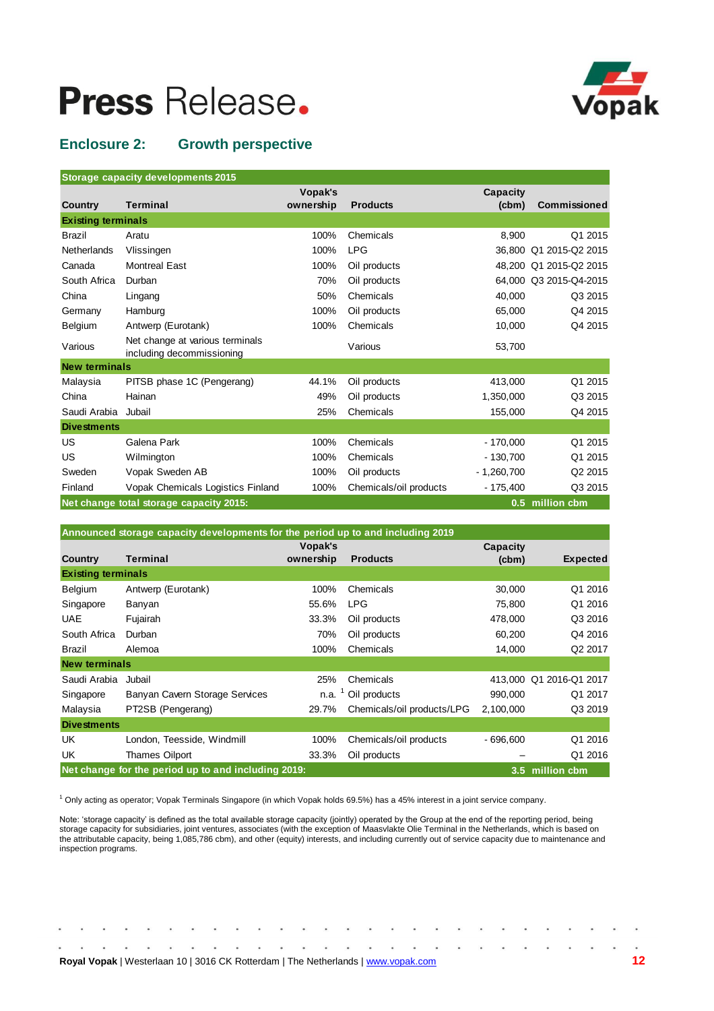

## **Enclosure 2: Growth perspective**

| <b>Storage capacity developments 2015</b> |  |  |
|-------------------------------------------|--|--|
|                                           |  |  |

|                           |                                                              | Vopak's   |                        | Capacity     |                        |
|---------------------------|--------------------------------------------------------------|-----------|------------------------|--------------|------------------------|
| <b>Country</b>            | <b>Terminal</b>                                              | ownership | <b>Products</b>        | (cbm)        | Commissioned           |
| <b>Existing terminals</b> |                                                              |           |                        |              |                        |
| <b>Brazil</b>             | Aratu                                                        | 100%      | Chemicals              | 8,900        | Q1 2015                |
| <b>Netherlands</b>        | Vlissingen                                                   | 100%      | <b>LPG</b>             |              | 36,800 Q1 2015-Q2 2015 |
| Canada                    | <b>Montreal East</b>                                         | 100%      | Oil products           |              | 48,200 Q1 2015-Q2 2015 |
| South Africa              | Durban                                                       | 70%       | Oil products           |              | 64,000 Q3 2015-Q4-2015 |
| China                     | Lingang                                                      | 50%       | Chemicals              | 40,000       | Q3 2015                |
| Germany                   | Hamburg                                                      | 100%      | Oil products           | 65,000       | Q4 2015                |
| Belgium                   | Antwerp (Eurotank)                                           | 100%      | Chemicals              | 10,000       | Q4 2015                |
| Various                   | Net change at various terminals<br>including decommissioning |           | Various                | 53,700       |                        |
| <b>New terminals</b>      |                                                              |           |                        |              |                        |
| Malaysia                  | PITSB phase 1C (Pengerang)                                   | 44.1%     | Oil products           | 413,000      | Q1 2015                |
| China                     | Hainan                                                       | 49%       | Oil products           | 1,350,000    | Q3 2015                |
| Saudi Arabia              | Jubail                                                       | 25%       | Chemicals              | 155,000      | Q4 2015                |
| <b>Divestments</b>        |                                                              |           |                        |              |                        |
| US                        | Galena Park                                                  | 100%      | Chemicals              | $-170,000$   | Q1 2015                |
| US                        | Wilmington                                                   | 100%      | Chemicals              | $-130,700$   | Q1 2015                |
| Sweden                    | Vopak Sweden AB                                              | 100%      | Oil products           | $-1,260,700$ | Q2 2015                |
| Finland                   | Vopak Chemicals Logistics Finland                            | 100%      | Chemicals/oil products | $-175,400$   | Q3 2015                |
|                           | Net change total storage capacity 2015:                      |           |                        |              | 0.5 million cbm        |

| Announced storage capacity developments for the period up to and including 2019 |                                                     |           |                            |                 |                         |  |  |  |  |  |  |  |  |  |
|---------------------------------------------------------------------------------|-----------------------------------------------------|-----------|----------------------------|-----------------|-------------------------|--|--|--|--|--|--|--|--|--|
|                                                                                 |                                                     | Vopak's   |                            | <b>Capacity</b> |                         |  |  |  |  |  |  |  |  |  |
| <b>Country</b>                                                                  | <b>Terminal</b>                                     | ownership | <b>Products</b>            | $(cbm)$         | <b>Expected</b>         |  |  |  |  |  |  |  |  |  |
| <b>Existing terminals</b>                                                       |                                                     |           |                            |                 |                         |  |  |  |  |  |  |  |  |  |
| Belgium                                                                         | Antwerp (Eurotank)                                  | 100%      | Chemicals                  | 30,000          | Q1 2016                 |  |  |  |  |  |  |  |  |  |
| Singapore                                                                       | Banyan                                              | 55.6%     | <b>LPG</b>                 | 75,800          | Q1 2016                 |  |  |  |  |  |  |  |  |  |
| <b>UAE</b>                                                                      | Fujairah                                            | 33.3%     | Oil products               | 478,000         | Q3 2016                 |  |  |  |  |  |  |  |  |  |
| South Africa                                                                    | Durban                                              | 70%       | Oil products               | 60.200          | Q4 2016                 |  |  |  |  |  |  |  |  |  |
| <b>Brazil</b>                                                                   | Alemoa                                              | 100%      | Chemicals                  | 14,000          | Q2 2017                 |  |  |  |  |  |  |  |  |  |
| <b>New terminals</b>                                                            |                                                     |           |                            |                 |                         |  |  |  |  |  |  |  |  |  |
| Saudi Arabia                                                                    | Jubail                                              | 25%       | Chemicals                  |                 | 413,000 Q1 2016-Q1 2017 |  |  |  |  |  |  |  |  |  |
| Singapore                                                                       | Banyan Cavern Storage Services                      | n.a.      | <sup>1</sup> Oil products  | 990,000         | Q1 2017                 |  |  |  |  |  |  |  |  |  |
| Malaysia                                                                        | PT2SB (Pengerang)                                   | 29.7%     | Chemicals/oil products/LPG | 2,100,000       | Q3 2019                 |  |  |  |  |  |  |  |  |  |
| <b>Divestments</b>                                                              |                                                     |           |                            |                 |                         |  |  |  |  |  |  |  |  |  |
| UK                                                                              | London, Teesside, Windmill                          | 100%      | Chemicals/oil products     | $-696,600$      | Q1 2016                 |  |  |  |  |  |  |  |  |  |
| UK                                                                              | Thames Oilport                                      | 33.3%     | Oil products               |                 | Q1 2016                 |  |  |  |  |  |  |  |  |  |
|                                                                                 | Net change for the period up to and including 2019: |           |                            |                 | 3.5 million cbm         |  |  |  |  |  |  |  |  |  |

<sup>1</sup> Only acting as operator; Vopak Terminals Singapore (in which Vopak holds 69.5%) has a 45% interest in a joint service company.

Note: 'storage capacity' is defined as the total available storage capacity (jointly) operated by the Group at the end of the reporting period, being storage capacity for subsidiaries, joint ventures, associates (with the exception of Maasvlakte Olie Terminal in the Netherlands, which is based on the attributable capacity, being 1,085,786 cbm), and other (equity) interests, and including currently out of service capacity due to maintenance and inspection programs.

|  |  |  |  | Royal Vopak   Westerlaan 10   3016 CK Rotterdam   The Netherlands   www.vopak.com |  |  |  |  |  |  |  |  | 12 |
|--|--|--|--|-----------------------------------------------------------------------------------|--|--|--|--|--|--|--|--|----|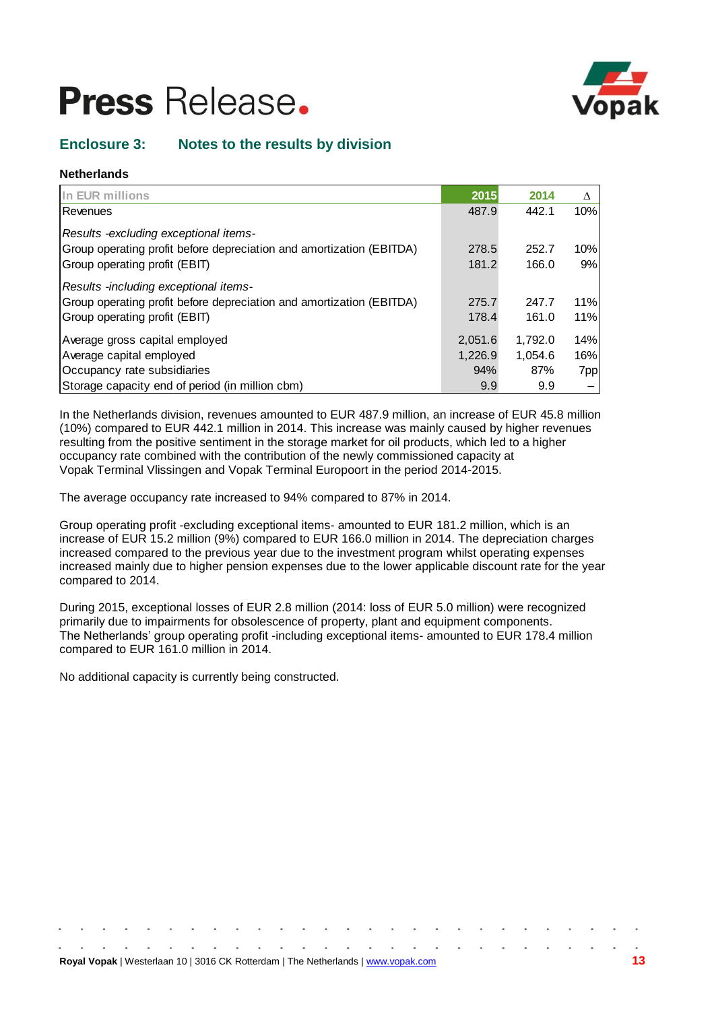

## **Enclosure 3: Notes to the results by division**

## **Netherlands**

| In EUR millions                                                      | 2015    | 2014    | Δ   |
|----------------------------------------------------------------------|---------|---------|-----|
| Revenues                                                             | 487.9   | 442.1   | 10% |
| Results - excluding exceptional items-                               |         |         |     |
| Group operating profit before depreciation and amortization (EBITDA) | 278.5   | 252.7   | 10% |
| Group operating profit (EBIT)                                        | 181.2   | 166.0   | 9%  |
| Results -including exceptional items-                                |         |         |     |
| Group operating profit before depreciation and amortization (EBITDA) | 275.7   | 247.7   | 11% |
| Group operating profit (EBIT)                                        | 178.4   | 161.0   | 11% |
| Average gross capital employed                                       | 2,051.6 | 1,792.0 | 14% |
| Average capital employed                                             | 1,226.9 | 1,054.6 | 16% |
| Occupancy rate subsidiaries                                          | 94%     | 87%     | 7pp |
| Storage capacity end of period (in million cbm)                      | 9.9     | 9.9     |     |

In the Netherlands division, revenues amounted to EUR 487.9 million, an increase of EUR 45.8 million (10%) compared to EUR 442.1 million in 2014. This increase was mainly caused by higher revenues resulting from the positive sentiment in the storage market for oil products, which led to a higher occupancy rate combined with the contribution of the newly commissioned capacity at Vopak Terminal Vlissingen and Vopak Terminal Europoort in the period 2014-2015.

The average occupancy rate increased to 94% compared to 87% in 2014.

Group operating profit -excluding exceptional items- amounted to EUR 181.2 million, which is an increase of EUR 15.2 million (9%) compared to EUR 166.0 million in 2014. The depreciation charges increased compared to the previous year due to the investment program whilst operating expenses increased mainly due to higher pension expenses due to the lower applicable discount rate for the year compared to 2014.

During 2015, exceptional losses of EUR 2.8 million (2014: loss of EUR 5.0 million) were recognized primarily due to impairments for obsolescence of property, plant and equipment components. The Netherlands' group operating profit -including exceptional items- amounted to EUR 178.4 million compared to EUR 161.0 million in 2014.

No additional capacity is currently being constructed.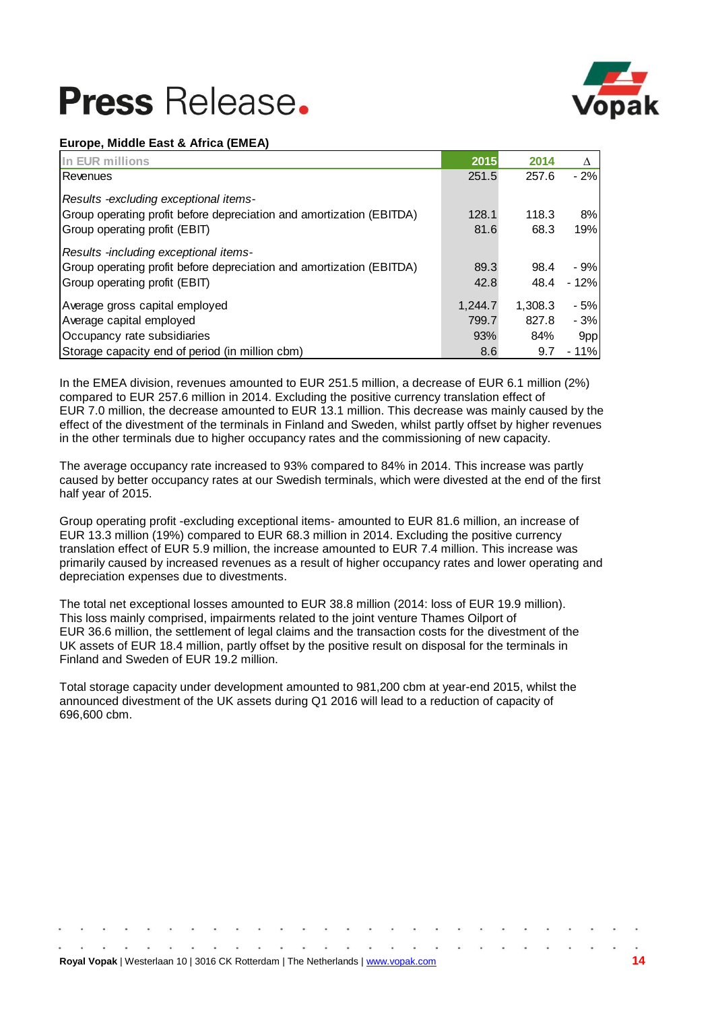

## **Europe, Middle East & Africa (EMEA)**

| In EUR millions                                                      | 2015    | 2014    | $\Lambda$ |
|----------------------------------------------------------------------|---------|---------|-----------|
| Revenues                                                             | 251.5   | 257.6   | $-2%$     |
| Results - excluding exceptional items-                               |         |         |           |
| Group operating profit before depreciation and amortization (EBITDA) | 128.1   | 118.3   | 8%        |
| Group operating profit (EBIT)                                        | 81.6    | 68.3    | 19%       |
| Results -including exceptional items-                                |         |         |           |
| Group operating profit before depreciation and amortization (EBITDA) | 89.3    | 98.4    | $-9%$     |
| Group operating profit (EBIT)                                        | 42.8    | 48.4    | $-12%$    |
| Average gross capital employed                                       | 1.244.7 | 1.308.3 | - 5%      |
| Average capital employed                                             | 799.7   | 827.8   | $-3%$     |
| Occupancy rate subsidiaries                                          | 93%     | 84%     | 9pp       |
| Storage capacity end of period (in million cbm)                      | 8.6     | 9.7     | - 11%     |

In the EMEA division, revenues amounted to EUR 251.5 million, a decrease of EUR 6.1 million (2%) compared to EUR 257.6 million in 2014. Excluding the positive currency translation effect of EUR 7.0 million, the decrease amounted to EUR 13.1 million. This decrease was mainly caused by the effect of the divestment of the terminals in Finland and Sweden, whilst partly offset by higher revenues in the other terminals due to higher occupancy rates and the commissioning of new capacity.

The average occupancy rate increased to 93% compared to 84% in 2014. This increase was partly caused by better occupancy rates at our Swedish terminals, which were divested at the end of the first half year of 2015.

Group operating profit -excluding exceptional items- amounted to EUR 81.6 million, an increase of EUR 13.3 million (19%) compared to EUR 68.3 million in 2014. Excluding the positive currency translation effect of EUR 5.9 million, the increase amounted to EUR 7.4 million. This increase was primarily caused by increased revenues as a result of higher occupancy rates and lower operating and depreciation expenses due to divestments.

The total net exceptional losses amounted to EUR 38.8 million (2014: loss of EUR 19.9 million). This loss mainly comprised, impairments related to the joint venture Thames Oilport of EUR 36.6 million, the settlement of legal claims and the transaction costs for the divestment of the UK assets of EUR 18.4 million, partly offset by the positive result on disposal for the terminals in Finland and Sweden of EUR 19.2 million.

Total storage capacity under development amounted to 981,200 cbm at year-end 2015, whilst the announced divestment of the UK assets during Q1 2016 will lead to a reduction of capacity of 696,600 cbm.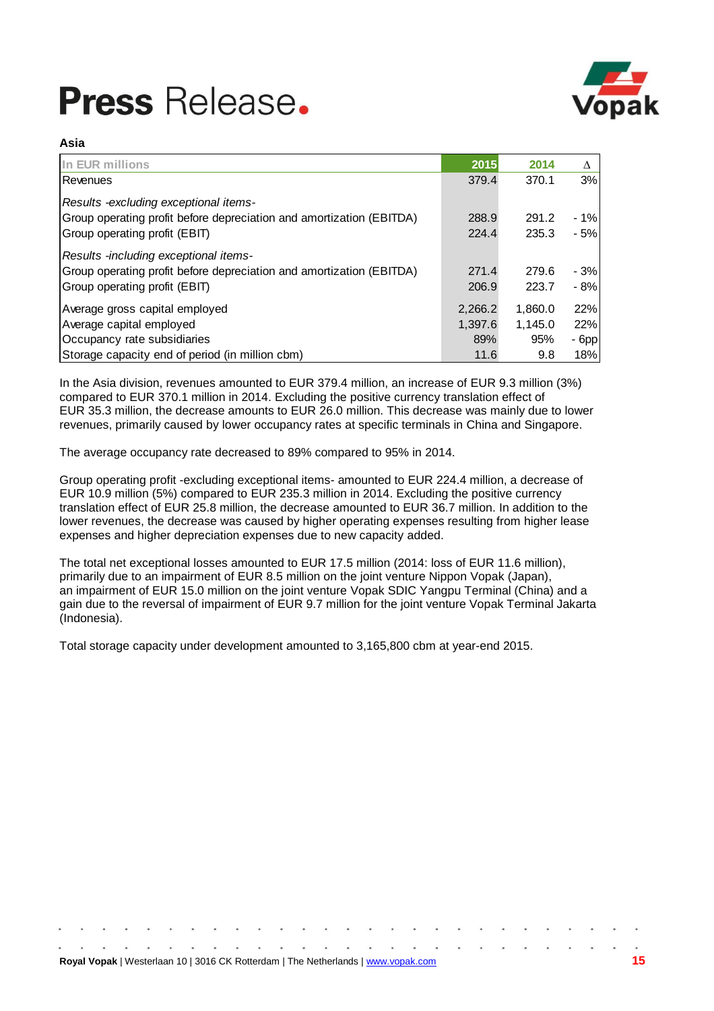

### **Asia**

| In EUR millions                                                      | 2015    | 2014    | Δ       |
|----------------------------------------------------------------------|---------|---------|---------|
| l Revenues                                                           | 379.4   | 370.1   | 3%      |
| Results -excluding exceptional items-                                |         |         |         |
| Group operating profit before depreciation and amortization (EBITDA) | 288.9   | 291.2   | $-1%$   |
| Group operating profit (EBIT)                                        | 224.4   | 235.3   | $-5%$   |
| Results -including exceptional items-                                |         |         |         |
| Group operating profit before depreciation and amortization (EBITDA) | 271.4   | 279.6   | $-3%$   |
| Group operating profit (EBIT)                                        | 206.9   | 223.7   | - 8%    |
| Average gross capital employed                                       | 2.266.2 | 1,860.0 | 22%     |
| Average capital employed                                             | 1.397.6 | 1,145.0 | 22%     |
| Occupancy rate subsidiaries                                          | 89%     | 95%     | $-6$ pp |
| Storage capacity end of period (in million cbm)                      | 11.6    | 9.8     | 18%     |

In the Asia division, revenues amounted to EUR 379.4 million, an increase of EUR 9.3 million (3%) compared to EUR 370.1 million in 2014. Excluding the positive currency translation effect of EUR 35.3 million, the decrease amounts to EUR 26.0 million. This decrease was mainly due to lower revenues, primarily caused by lower occupancy rates at specific terminals in China and Singapore.

The average occupancy rate decreased to 89% compared to 95% in 2014.

Group operating profit -excluding exceptional items- amounted to EUR 224.4 million, a decrease of EUR 10.9 million (5%) compared to EUR 235.3 million in 2014. Excluding the positive currency translation effect of EUR 25.8 million, the decrease amounted to EUR 36.7 million. In addition to the lower revenues, the decrease was caused by higher operating expenses resulting from higher lease expenses and higher depreciation expenses due to new capacity added.

The total net exceptional losses amounted to EUR 17.5 million (2014: loss of EUR 11.6 million), primarily due to an impairment of EUR 8.5 million on the joint venture Nippon Vopak (Japan), an impairment of EUR 15.0 million on the joint venture Vopak SDIC Yangpu Terminal (China) and a gain due to the reversal of impairment of EUR 9.7 million for the joint venture Vopak Terminal Jakarta (Indonesia).

Total storage capacity under development amounted to 3,165,800 cbm at year-end 2015.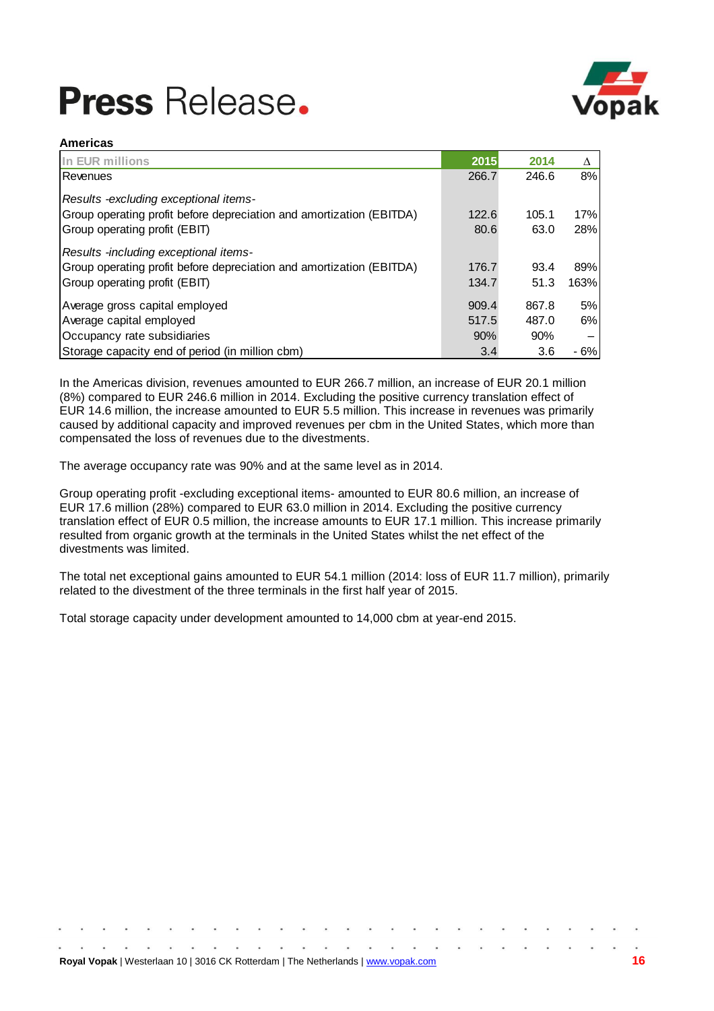

### **Americas**

| In EUR millions                                                      | 2015  | 2014  | Λ    |
|----------------------------------------------------------------------|-------|-------|------|
| Revenues                                                             | 266.7 | 246.6 | 8%   |
| Results -excluding exceptional items-                                |       |       |      |
| Group operating profit before depreciation and amortization (EBITDA) | 122.6 | 105.1 | 17%  |
| Group operating profit (EBIT)                                        | 80.6  | 63.0  | 28%  |
| Results -including exceptional items-                                |       |       |      |
| Group operating profit before depreciation and amortization (EBITDA) | 176.7 | 93.4  | 89%  |
| Group operating profit (EBIT)                                        | 134.7 | 51.3  | 163% |
| Average gross capital employed                                       | 909.4 | 867.8 | 5%   |
| Average capital employed                                             | 517.5 | 487.0 | 6%   |
| Occupancy rate subsidiaries                                          | 90%   | 90%   |      |
| Storage capacity end of period (in million cbm)                      | 3.4   | 3.6   | - 6% |

In the Americas division, revenues amounted to EUR 266.7 million, an increase of EUR 20.1 million (8%) compared to EUR 246.6 million in 2014. Excluding the positive currency translation effect of EUR 14.6 million, the increase amounted to EUR 5.5 million. This increase in revenues was primarily caused by additional capacity and improved revenues per cbm in the United States, which more than compensated the loss of revenues due to the divestments.

The average occupancy rate was 90% and at the same level as in 2014.

Group operating profit -excluding exceptional items- amounted to EUR 80.6 million, an increase of EUR 17.6 million (28%) compared to EUR 63.0 million in 2014. Excluding the positive currency translation effect of EUR 0.5 million, the increase amounts to EUR 17.1 million. This increase primarily resulted from organic growth at the terminals in the United States whilst the net effect of the divestments was limited.

The total net exceptional gains amounted to EUR 54.1 million (2014: loss of EUR 11.7 million), primarily related to the divestment of the three terminals in the first half year of 2015.

Total storage capacity under development amounted to 14,000 cbm at year-end 2015.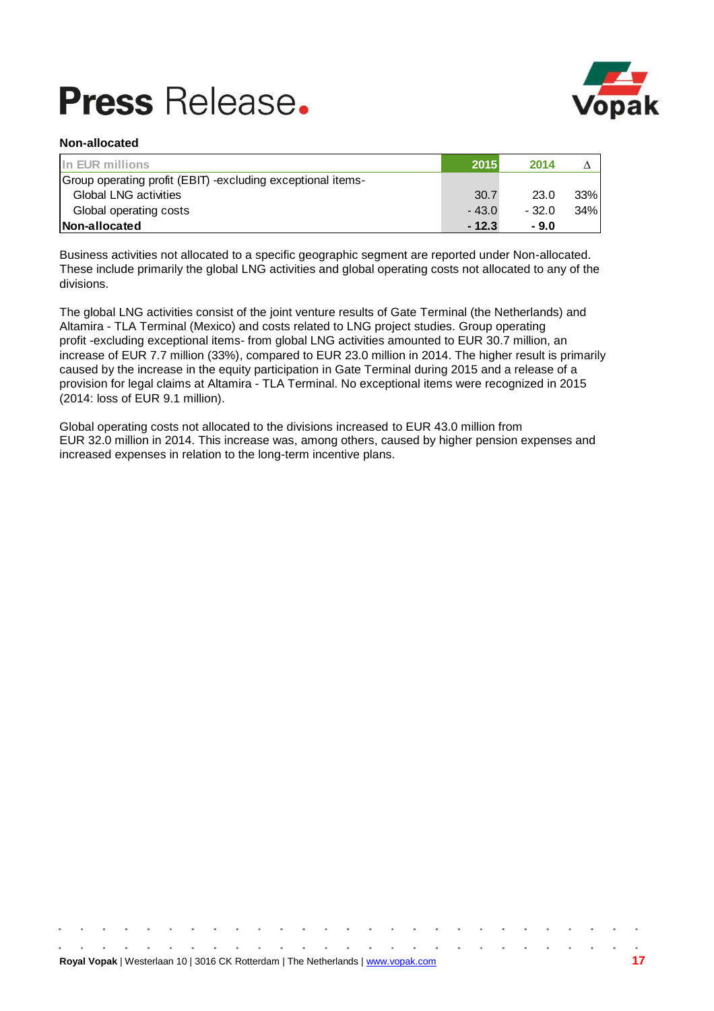

## **Non-allocated**

| In EUR millions                                              | 2015    | 2014    |     |
|--------------------------------------------------------------|---------|---------|-----|
| Group operating profit (EBIT) - excluding exceptional items- |         |         |     |
| <b>Global LNG activities</b>                                 | 30.7    | 23.0    | 33% |
| Global operating costs                                       | $-43.0$ | $-32.0$ | 34% |
| Non-allocated                                                | $-12.3$ | - 9.0   |     |

Business activities not allocated to a specific geographic segment are reported under Non-allocated. These include primarily the global LNG activities and global operating costs not allocated to any of the divisions.

The global LNG activities consist of the joint venture results of Gate Terminal (the Netherlands) and Altamira - TLA Terminal (Mexico) and costs related to LNG project studies. Group operating profit -excluding exceptional items- from global LNG activities amounted to EUR 30.7 million, an increase of EUR 7.7 million (33%), compared to EUR 23.0 million in 2014. The higher result is primarily caused by the increase in the equity participation in Gate Terminal during 2015 and a release of a provision for legal claims at Altamira - TLA Terminal. No exceptional items were recognized in 2015 (2014: loss of EUR 9.1 million).

Global operating costs not allocated to the divisions increased to EUR 43.0 million from EUR 32.0 million in 2014. This increase was, among others, caused by higher pension expenses and increased expenses in relation to the long-term incentive plans.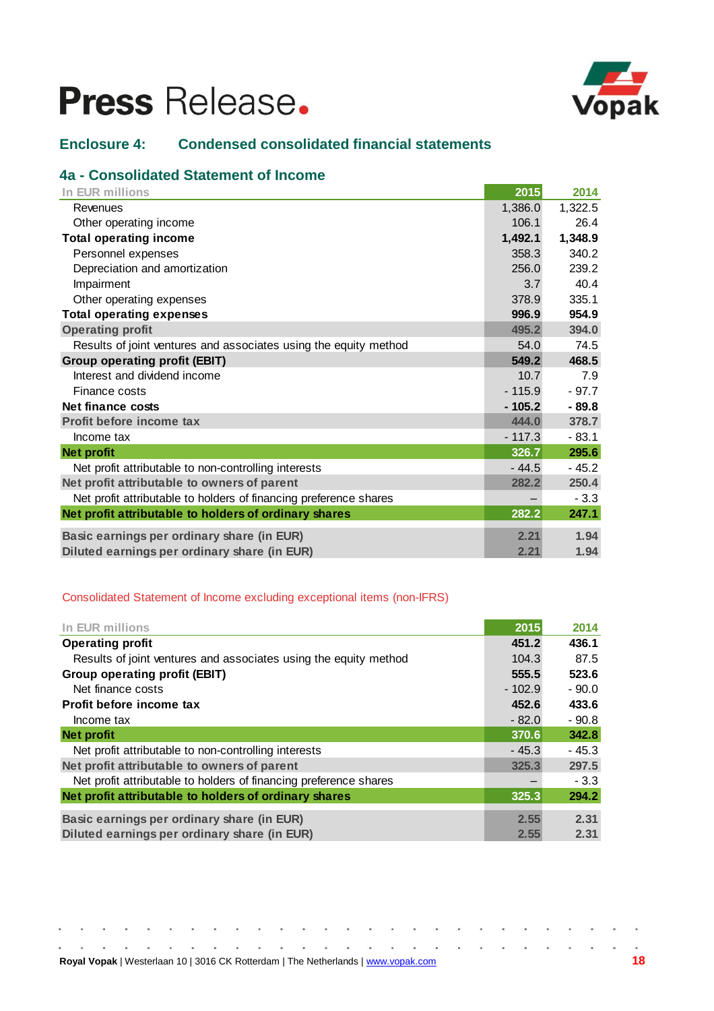

## **Enclosure 4: Condensed consolidated financial statements**

## **4a - Consolidated Statement of Income**

| In EUR millions                                                   | 2015     | 2014    |
|-------------------------------------------------------------------|----------|---------|
| Revenues                                                          | 1,386.0  | 1,322.5 |
| Other operating income                                            | 106.1    | 26.4    |
| <b>Total operating income</b>                                     | 1,492.1  | 1,348.9 |
| Personnel expenses                                                | 358.3    | 340.2   |
| Depreciation and amortization                                     | 256.0    | 239.2   |
| Impairment                                                        | 3.7      | 40.4    |
| Other operating expenses                                          | 378.9    | 335.1   |
| <b>Total operating expenses</b>                                   | 996.9    | 954.9   |
| <b>Operating profit</b>                                           | 495.2    | 394.0   |
| Results of joint ventures and associates using the equity method  | 54.0     | 74.5    |
| <b>Group operating profit (EBIT)</b>                              | 549.2    | 468.5   |
| Interest and dividend income                                      | 10.7     | 7.9     |
| Finance costs                                                     | $-115.9$ | $-97.7$ |
| Net finance costs                                                 | $-105.2$ | $-89.8$ |
| Profit before income tax                                          | 444.0    | 378.7   |
| Income tax                                                        | $-117.3$ | $-83.1$ |
| <b>Net profit</b>                                                 | 326.7    | 295.6   |
| Net profit attributable to non-controlling interests              | $-44.5$  | $-45.2$ |
| Net profit attributable to owners of parent                       | 282.2    | 250.4   |
| Net profit attributable to holders of financing preference shares |          | $-3.3$  |
| Net profit attributable to holders of ordinary shares             | 282.2    | 247.1   |
| Basic earnings per ordinary share (in EUR)                        | 2.21     | 1.94    |
| Diluted earnings per ordinary share (in EUR)                      | 2.21     | 1.94    |

## Consolidated Statement of Income excluding exceptional items (non-IFRS)

 $\bullet$ 

| In EUR millions                                                   | 2015     | 2014    |
|-------------------------------------------------------------------|----------|---------|
| <b>Operating profit</b>                                           | 451.2    | 436.1   |
| Results of joint ventures and associates using the equity method  | 104.3    | 87.5    |
| Group operating profit (EBIT)                                     | 555.5    | 523.6   |
| Net finance costs                                                 | $-102.9$ | $-90.0$ |
| Profit before income tax                                          | 452.6    | 433.6   |
| Income tax                                                        | $-82.0$  | $-90.8$ |
| <b>Net profit</b>                                                 | 370.6    | 342.8   |
| Net profit attributable to non-controlling interests              | $-45.3$  | $-45.3$ |
| Net profit attributable to owners of parent                       | 325.3    | 297.5   |
| Net profit attributable to holders of financing preference shares |          | $-3.3$  |
| Net profit attributable to holders of ordinary shares             | 325.3    | 294.2   |
| Basic earnings per ordinary share (in EUR)                        | 2.55     | 2.31    |
| Diluted earnings per ordinary share (in EUR)                      | 2.55     | 2.31    |

 $\tilde{\bullet}$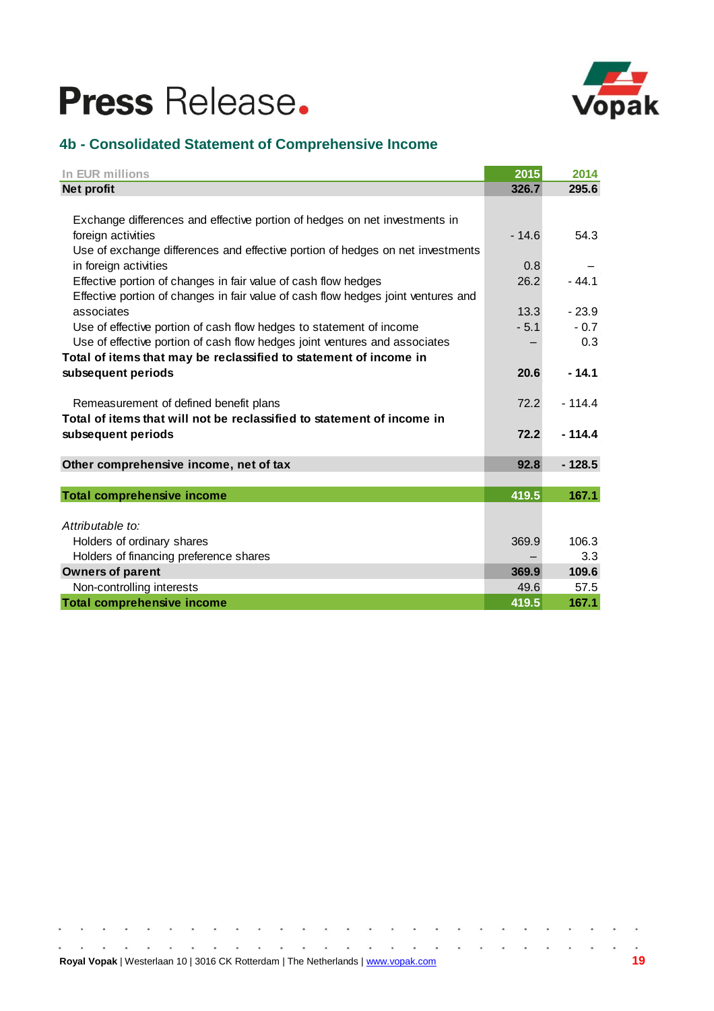

## **4b - Consolidated Statement of Comprehensive Income**

| In EUR millions                                                                   | 2015    | 2014     |
|-----------------------------------------------------------------------------------|---------|----------|
| <b>Net profit</b>                                                                 | 326.7   | 295.6    |
|                                                                                   |         |          |
| Exchange differences and effective portion of hedges on net investments in        |         |          |
| foreign activities                                                                | $-14.6$ | 54.3     |
| Use of exchange differences and effective portion of hedges on net investments    |         |          |
| in foreign activities                                                             | 0.8     |          |
| Effective portion of changes in fair value of cash flow hedges                    | 26.2    | $-44.1$  |
| Effective portion of changes in fair value of cash flow hedges joint ventures and |         |          |
| associates                                                                        | 13.3    | $-23.9$  |
| Use of effective portion of cash flow hedges to statement of income               | $-5.1$  | $-0.7$   |
| Use of effective portion of cash flow hedges joint ventures and associates        |         | 0.3      |
| Total of items that may be reclassified to statement of income in                 |         |          |
| subsequent periods                                                                | 20.6    | $-14.1$  |
|                                                                                   |         |          |
| Remeasurement of defined benefit plans                                            | 72.2    | $-114.4$ |
| Total of items that will not be reclassified to statement of income in            |         |          |
| subsequent periods                                                                | 72.2    | $-114.4$ |
|                                                                                   |         |          |
| Other comprehensive income, net of tax                                            | 92.8    | $-128.5$ |
|                                                                                   |         |          |
| <b>Total comprehensive income</b>                                                 | 419.5   | 167.1    |
|                                                                                   |         |          |
| Attributable to:                                                                  |         |          |
| Holders of ordinary shares                                                        | 369.9   | 106.3    |
| Holders of financing preference shares                                            |         | 3.3      |
| <b>Owners of parent</b>                                                           | 369.9   | 109.6    |
| Non-controlling interests                                                         | 49.6    | 57.5     |
| <b>Total comprehensive income</b>                                                 | 419.5   | 167.1    |

 $\sim$ 

 $\bullet$ 

 $\bullet$  $\bullet$  $\bullet$ 

 $\bullet$ 

 $\tilde{\bullet}$  $\bullet$ 

 $\hat{\mathbf{a}}$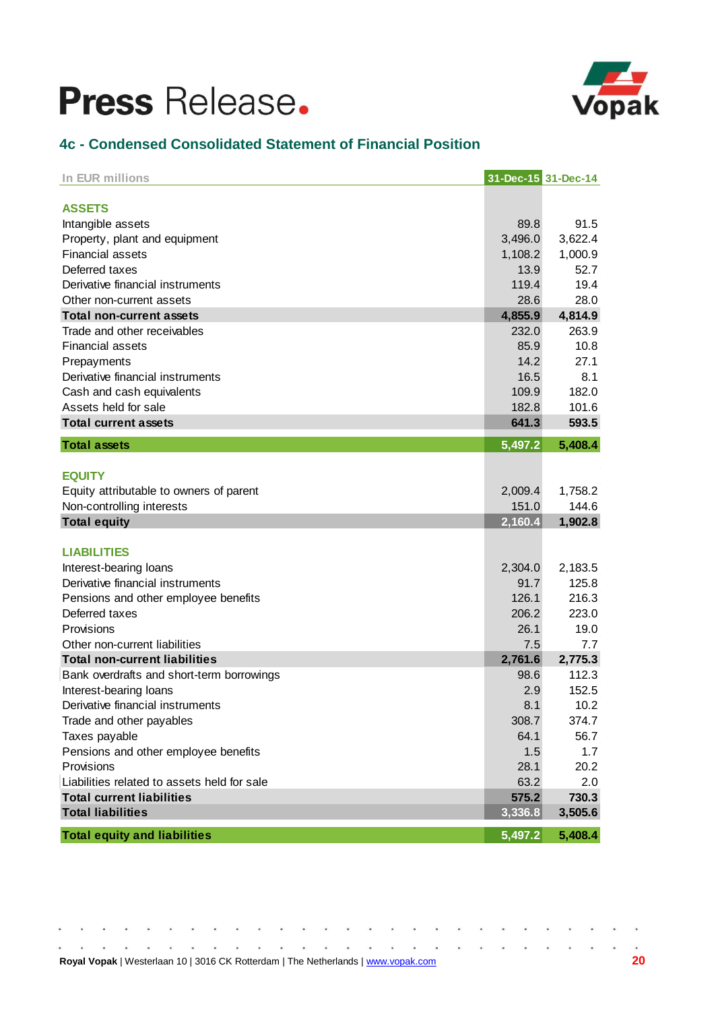

## **4c - Condensed Consolidated Statement of Financial Position**

| In EUR millions                                             | 31-Dec-15 31-Dec-14 |             |
|-------------------------------------------------------------|---------------------|-------------|
| <b>ASSETS</b>                                               |                     |             |
|                                                             | 89.8                | 91.5        |
| Intangible assets                                           | 3,496.0             | 3,622.4     |
| Property, plant and equipment<br><b>Financial assets</b>    | 1,108.2             | 1,000.9     |
| Deferred taxes                                              | 13.9                | 52.7        |
| Derivative financial instruments                            | 119.4               | 19.4        |
|                                                             | 28.6                | 28.0        |
| Other non-current assets<br><b>Total non-current assets</b> | 4,855.9             | 4,814.9     |
| Trade and other receivables                                 | 232.0               | 263.9       |
| <b>Financial assets</b>                                     | 85.9                | 10.8        |
|                                                             | 14.2                | 27.1        |
| Prepayments<br>Derivative financial instruments             | 16.5                | 8.1         |
|                                                             | 109.9               | 182.0       |
| Cash and cash equivalents                                   | 182.8               | 101.6       |
| Assets held for sale<br><b>Total current assets</b>         | 641.3               | 593.5       |
|                                                             |                     |             |
| <b>Total assets</b>                                         | 5,497.2             | 5,408.4     |
|                                                             |                     |             |
| <b>EQUITY</b>                                               |                     |             |
| Equity attributable to owners of parent                     | 2,009.4             | 1,758.2     |
| Non-controlling interests                                   | 151.0               | 144.6       |
| <b>Total equity</b>                                         | 2,160.4             | 1,902.8     |
| <b>LIABILITIES</b>                                          |                     |             |
| Interest-bearing loans                                      | 2,304.0             | 2,183.5     |
| Derivative financial instruments                            | 91.7                | 125.8       |
|                                                             | 126.1               | 216.3       |
| Pensions and other employee benefits<br>Deferred taxes      | 206.2               | 223.0       |
| Provisions                                                  |                     |             |
| Other non-current liabilities                               | 26.1                | 19.0<br>7.7 |
|                                                             | 7.5                 |             |
| <b>Total non-current liabilities</b>                        | 2,761.6             | 2,775.3     |
| Bank overdrafts and short-term borrowings                   | 98.6                | 112.3       |
| Interest-bearing loans                                      | 2.9                 | 152.5       |
| Derivative financial instruments                            | 8.1                 | 10.2        |
| Trade and other payables                                    | 308.7               | 374.7       |
| Taxes payable                                               | 64.1                | 56.7        |
| Pensions and other employee benefits                        | 1.5                 | 1.7         |
| Provisions                                                  | 28.1                | 20.2        |
| Liabilities related to assets held for sale                 | 63.2                | 2.0         |
| <b>Total current liabilities</b>                            | 575.2               | 730.3       |
| <b>Total liabilities</b>                                    | 3,336.8             | 3,505.6     |
| <b>Total equity and liabilities</b>                         | 5,497.2             | 5,408.4     |

|  |  |  |  | <b>Royal Vopak</b>   Westerlaan 10   3016 CK Rotterdam   The Netherlands   www.yopak.com |  |  |  |  |  |  |  |  | -20 |
|--|--|--|--|------------------------------------------------------------------------------------------|--|--|--|--|--|--|--|--|-----|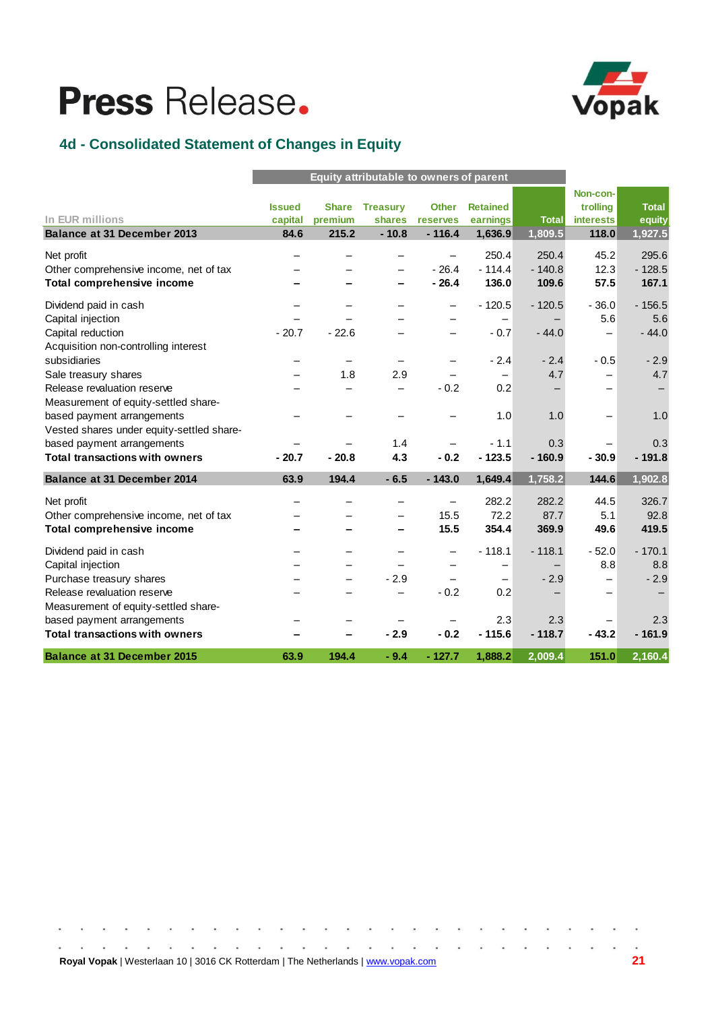

## **4d - Consolidated Statement of Changes in Equity**

|                                           |               | Equity attributable to owners of parent |                              |                          |                              |              |                  |              |
|-------------------------------------------|---------------|-----------------------------------------|------------------------------|--------------------------|------------------------------|--------------|------------------|--------------|
|                                           |               |                                         |                              |                          |                              |              | Non-con-         |              |
|                                           | <b>Issued</b> | <b>Share</b>                            | <b>Treasury</b>              | <b>Other</b>             | <b>Retained</b>              |              | trolling         | <b>Total</b> |
| In EUR millions                           | capital       | premium                                 | shares                       | reserves                 | earnings                     | <b>Total</b> | <b>interests</b> | equity       |
| <b>Balance at 31 December 2013</b>        | 84.6          | 215.2                                   | $-10.8$                      | $-116.4$                 | 1,636.9                      | 1,809.5      | 118.0            | 1,927.5      |
| Net profit                                |               |                                         |                              | -                        | 250.4                        | 250.4        | 45.2             | 295.6        |
| Other comprehensive income, net of tax    |               |                                         |                              | $-26.4$                  | $-114.4$                     | $-140.8$     | 12.3             | $-128.5$     |
| <b>Total comprehensive income</b>         |               |                                         |                              | $-26.4$                  | 136.0                        | 109.6        | 57.5             | 167.1        |
| Dividend paid in cash                     |               |                                         |                              | $\overline{\phantom{0}}$ | $-120.5$                     | $-120.5$     | $-36.0$          | $-156.5$     |
| Capital injection                         |               |                                         |                              |                          | $\qquad \qquad$              |              | 5.6              | 5.6          |
| Capital reduction                         | $-20.7$       | $-22.6$                                 |                              |                          | $-0.7$                       | $-44.0$      |                  | $-44.0$      |
| Acquisition non-controlling interest      |               |                                         |                              |                          |                              |              |                  |              |
| subsidiaries                              |               | -                                       | $\qquad \qquad \blacksquare$ | -                        | $-2.4$                       | $-2.4$       | $-0.5$           | $-2.9$       |
| Sale treasury shares                      |               | 1.8                                     | 2.9                          |                          |                              | 4.7          |                  | 4.7          |
| Release revaluation reserve               |               |                                         |                              | $-0.2$                   | 0.2                          |              |                  |              |
| Measurement of equity-settled share-      |               |                                         |                              |                          |                              |              |                  |              |
| based payment arrangements                |               |                                         |                              |                          | 1.0                          | 1.0          |                  | 1.0          |
| Vested shares under equity-settled share- |               |                                         |                              |                          |                              |              |                  |              |
| based payment arrangements                |               |                                         | 1.4                          | $\overline{\phantom{0}}$ | $-1.1$                       | 0.3          |                  | 0.3          |
| <b>Total transactions with owners</b>     | $-20.7$       | $-20.8$                                 | 4.3                          | $-0.2$                   | $-123.5$                     | $-160.9$     | $-30.9$          | $-191.8$     |
| <b>Balance at 31 December 2014</b>        | 63.9          | 194.4                                   | $-6.5$                       | $-143.0$                 | 1,649.4                      | 1,758.2      | 144.6            | 1,902.8      |
| Net profit                                |               |                                         | $\equiv$                     | -                        | 282.2                        | 282.2        | 44.5             | 326.7        |
| Other comprehensive income, net of tax    |               |                                         |                              | 15.5                     | 72.2                         | 87.7         | 5.1              | 92.8         |
| <b>Total comprehensive income</b>         |               |                                         |                              | 15.5                     | 354.4                        | 369.9        | 49.6             | 419.5        |
| Dividend paid in cash                     |               |                                         |                              |                          | $-118.1$                     | $-118.1$     | $-52.0$          | $-170.1$     |
| Capital injection                         |               |                                         |                              |                          | -                            |              | 8.8              | 8.8          |
| Purchase treasury shares                  |               |                                         | $-2.9$                       | $\overline{\phantom{0}}$ | $\qquad \qquad \blacksquare$ | $-2.9$       |                  | $-2.9$       |
| Release revaluation reserve               |               |                                         |                              | $-0.2$                   | 0.2                          |              |                  |              |
| Measurement of equity-settled share-      |               |                                         |                              |                          |                              |              |                  |              |
| based payment arrangements                |               |                                         | -                            | -                        | 2.3                          | 2.3          |                  | 2.3          |
| <b>Total transactions with owners</b>     |               |                                         | $-2.9$                       | $-0.2$                   | $-115.6$                     | $-118.7$     | $-43.2$          | $-161.9$     |
| <b>Balance at 31 December 2015</b>        | 63.9          | 194.4                                   | $-9.4$                       | $-127.7$                 | 1,888.2                      | 2.009.4      | 151.0            | 2,160.4      |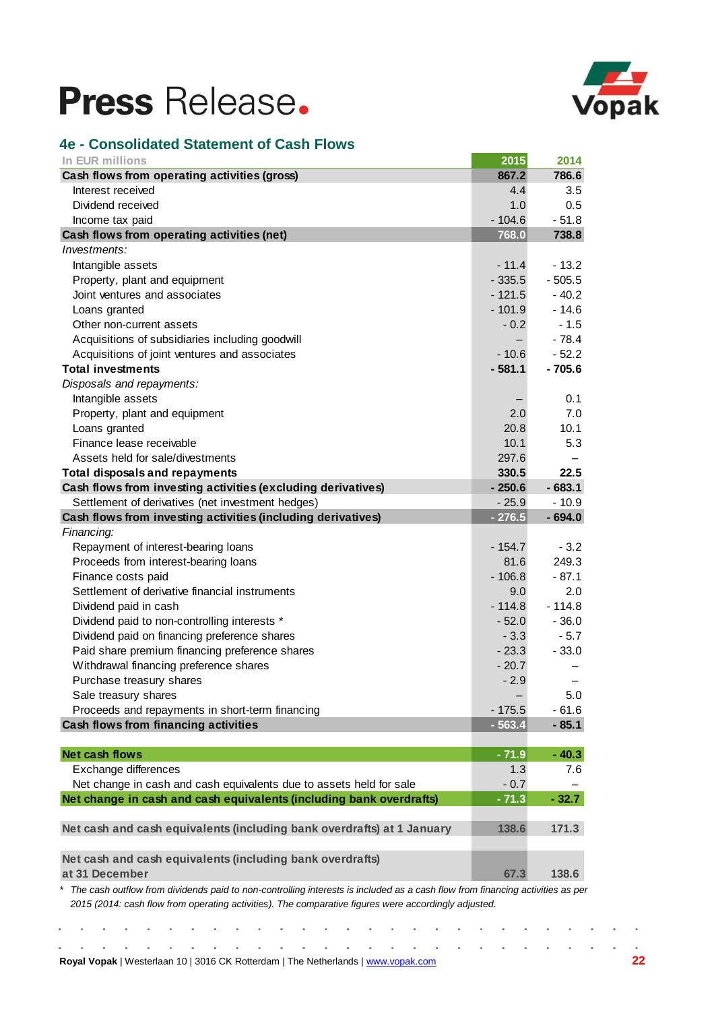

## **4e - Consolidated Statement of Cash Flows**

| In EUR millions                                                                                                                                                                                                                       | 2015     | 2014     |
|---------------------------------------------------------------------------------------------------------------------------------------------------------------------------------------------------------------------------------------|----------|----------|
| Cash flows from operating activities (gross)                                                                                                                                                                                          | 867.2    | 786.6    |
| Interest received                                                                                                                                                                                                                     | 4.4      | 3.5      |
| Dividend received                                                                                                                                                                                                                     | 1.0      | 0.5      |
| Income tax paid                                                                                                                                                                                                                       | $-104.6$ | $-51.8$  |
| Cash flows from operating activities (net)                                                                                                                                                                                            | 768.0    | 738.8    |
| Investments:                                                                                                                                                                                                                          |          |          |
| Intangible assets                                                                                                                                                                                                                     | $-11.4$  | $-13.2$  |
| Property, plant and equipment                                                                                                                                                                                                         | $-335.5$ | $-505.5$ |
| Joint ventures and associates                                                                                                                                                                                                         | $-121.5$ | $-40.2$  |
| Loans granted                                                                                                                                                                                                                         | $-101.9$ | $-14.6$  |
| Other non-current assets                                                                                                                                                                                                              | $-0.2$   | $-1.5$   |
| Acquisitions of subsidiaries including goodwill                                                                                                                                                                                       |          | $-78.4$  |
| Acquisitions of joint ventures and associates                                                                                                                                                                                         | $-10.6$  | $-52.2$  |
| <b>Total investments</b>                                                                                                                                                                                                              | $-581.1$ | $-705.6$ |
| Disposals and repayments:                                                                                                                                                                                                             |          |          |
| Intangible assets                                                                                                                                                                                                                     |          | 0.1      |
| Property, plant and equipment                                                                                                                                                                                                         | 2.0      | 7.0      |
| Loans granted                                                                                                                                                                                                                         | 20.8     | 10.1     |
| Finance lease receivable                                                                                                                                                                                                              | 10.1     | 5.3      |
| Assets held for sale/divestments                                                                                                                                                                                                      | 297.6    |          |
| <b>Total disposals and repayments</b>                                                                                                                                                                                                 | 330.5    | 22.5     |
| Cash flows from investing activities (excluding derivatives)                                                                                                                                                                          | $-250.6$ | $-683.1$ |
| Settlement of derivatives (net investment hedges)                                                                                                                                                                                     | $-25.9$  | $-10.9$  |
| Cash flows from investing activities (including derivatives)                                                                                                                                                                          | $-276.5$ | $-694.0$ |
| Financing:                                                                                                                                                                                                                            |          |          |
| Repayment of interest-bearing loans                                                                                                                                                                                                   | $-154.7$ | $-3.2$   |
| Proceeds from interest-bearing loans                                                                                                                                                                                                  | 81.6     | 249.3    |
| Finance costs paid                                                                                                                                                                                                                    | $-106.8$ | $-87.1$  |
| Settlement of derivative financial instruments                                                                                                                                                                                        | 9.0      | 2.0      |
| Dividend paid in cash                                                                                                                                                                                                                 | $-114.8$ | $-114.8$ |
| Dividend paid to non-controlling interests *                                                                                                                                                                                          | $-52.0$  | $-36.0$  |
| Dividend paid on financing preference shares                                                                                                                                                                                          | $-3.3$   | $-5.7$   |
| Paid share premium financing preference shares                                                                                                                                                                                        | $-23.3$  | $-33.0$  |
| Withdrawal financing preference shares                                                                                                                                                                                                | $-20.7$  |          |
| Purchase treasury shares                                                                                                                                                                                                              | $-2.9$   |          |
| Sale treasury shares                                                                                                                                                                                                                  |          | 5.0      |
| Proceeds and repayments in short-term financing                                                                                                                                                                                       | $-175.5$ | $-61.6$  |
| Cash flows from financing activities                                                                                                                                                                                                  | $-563.4$ | $-85.1$  |
|                                                                                                                                                                                                                                       |          |          |
| <b>Net cash flows</b>                                                                                                                                                                                                                 | $-71.9$  | $-40.3$  |
| Exchange differences                                                                                                                                                                                                                  | 1.3      | 7.6      |
| Net change in cash and cash equivalents due to assets held for sale                                                                                                                                                                   | $-0.7$   |          |
| Net change in cash and cash equivalents (including bank overdrafts)                                                                                                                                                                   | $-71.3$  | $-32.7$  |
| Net cash and cash equivalents (including bank overdrafts) at 1 January                                                                                                                                                                | 138.6    | 171.3    |
| Net cash and cash equivalents (including bank overdrafts)                                                                                                                                                                             |          |          |
| at 31 December                                                                                                                                                                                                                        | 67.3     | 138.6    |
| The cash outflow from dividends paid to non-controlling interests is included as a cash flow from financing activities as per<br>2015 (2014: cash flow from operating activities). The comparative figures were accordingly adjusted. |          |          |

 $\alpha$  ,  $\alpha$  $\bullet$  $\bullet$ **Royal Vopak** | Westerlaan 10 | 3016 CK Rotterdam | The Netherlands [| www.vopak.com](http://www.vopak.com/) **22**

 $\overline{\phantom{a}}$ 

 $\ddot{\bullet}$  $\ddot{\bullet}$ 

 $\ddot{\bullet}$ 

 $\hat{\bullet}$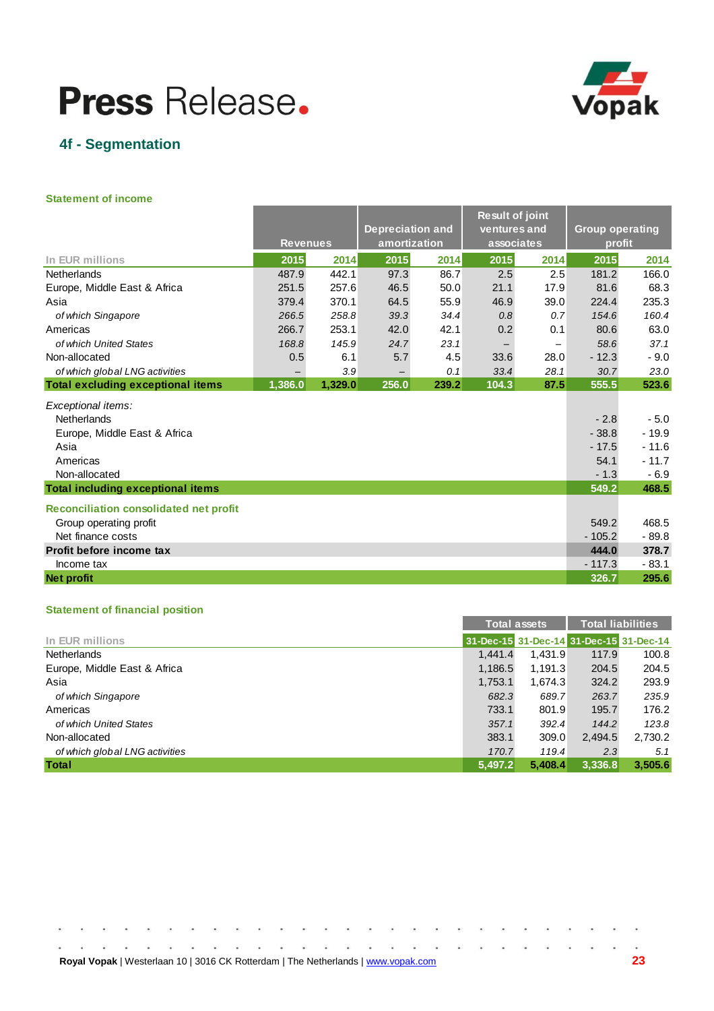

## **4f - Segmentation**

#### **Statement of income**

|                                               | <b>Revenues</b>   |         | <b>Depreciation and</b><br>amortization |       | <b>Result of joint</b><br>ventures and<br>associates |                          | <b>Group operating</b><br>profit |         |
|-----------------------------------------------|-------------------|---------|-----------------------------------------|-------|------------------------------------------------------|--------------------------|----------------------------------|---------|
| In EUR millions                               | 2015              | 2014    | 2015                                    | 2014  | 2015                                                 | 2014                     | 2015                             | 2014    |
| Netherlands                                   | 487.9             | 442.1   | 97.3                                    | 86.7  | 2.5                                                  | 2.5                      | 181.2                            | 166.0   |
| Europe, Middle East & Africa                  | 251.5             | 257.6   | 46.5                                    | 50.0  | 21.1                                                 | 17.9                     | 81.6                             | 68.3    |
| Asia                                          | 379.4             | 370.1   | 64.5                                    | 55.9  | 46.9                                                 | 39.0                     | 224.4                            | 235.3   |
| of which Singapore                            | 266.5             | 258.8   | 39.3                                    | 34.4  | 0.8                                                  | 0.7                      | 154.6                            | 160.4   |
| Americas                                      | 266.7             | 253.1   | 42.0                                    | 42.1  | 0.2                                                  | 0.1                      | 80.6                             | 63.0    |
| of which United States                        | 168.8             | 145.9   | 24.7                                    | 23.1  | -                                                    | $\overline{\phantom{m}}$ | 58.6                             | 37.1    |
| Non-allocated                                 | 0.5               | 6.1     | 5.7                                     | 4.5   | 33.6                                                 | 28.0                     | $-12.3$                          | $-9.0$  |
| of which global LNG activities                | $\qquad \qquad -$ | 3.9     |                                         | 0.1   | 33.4                                                 | 28.1                     | 30.7                             | 23.0    |
| <b>Total excluding exceptional items</b>      | 1,386.0           | 1,329.0 | 256.0                                   | 239.2 | 104.3                                                | 87.5                     | 555.5                            | 523.6   |
| Exceptional items:                            |                   |         |                                         |       |                                                      |                          |                                  |         |
| Netherlands                                   |                   |         |                                         |       |                                                      |                          | $-2.8$                           | $-5.0$  |
| Europe, Middle East & Africa                  |                   |         |                                         |       |                                                      |                          | $-38.8$                          | $-19.9$ |
| Asia                                          |                   |         |                                         |       |                                                      |                          | $-17.5$                          | $-11.6$ |
| Americas                                      |                   |         |                                         |       |                                                      |                          | 54.1                             | $-11.7$ |
| Non-allocated                                 |                   |         |                                         |       |                                                      |                          | $-1.3$                           | $-6.9$  |
| <b>Total including exceptional items</b>      |                   |         |                                         |       |                                                      |                          | 549.2                            | 468.5   |
| <b>Reconciliation consolidated net profit</b> |                   |         |                                         |       |                                                      |                          |                                  |         |
| Group operating profit                        |                   |         |                                         |       |                                                      |                          | 549.2                            | 468.5   |
| Net finance costs                             |                   |         |                                         |       |                                                      |                          | $-105.2$                         | $-89.8$ |
| Profit before income tax                      |                   |         |                                         |       |                                                      |                          | 444.0                            | 378.7   |
| Income tax                                    |                   |         |                                         |       |                                                      |                          | $-117.3$                         | $-83.1$ |
| <b>Net profit</b>                             |                   |         |                                         |       |                                                      |                          | 326.7                            | 295.6   |

### **Statement of financial position**

|                                |                                         | Total assets |         | <b>Total liabilities</b> |
|--------------------------------|-----------------------------------------|--------------|---------|--------------------------|
| In EUR millions                | 31-Dec-15 31-Dec-14 31-Dec-15 31-Dec-14 |              |         |                          |
| <b>Netherlands</b>             | 1.441.4                                 | 1.431.9      | 117.9   | 100.8                    |
| Europe, Middle East & Africa   | 1,186.5                                 | 1,191.3      | 204.5   | 204.5                    |
| Asia                           | 1,753.1                                 | 1.674.3      | 324.2   | 293.9                    |
| of which Singapore             | 682.3                                   | 689.7        | 263.7   | 235.9                    |
| Americas                       | 733.1                                   | 801.9        | 195.7   | 176.2                    |
| of which United States         | 357.1                                   | 392.4        | 144.2   | 123.8                    |
| Non-allocated                  | 383.1                                   | 309.0        | 2.494.5 | 2,730.2                  |
| of which global LNG activities | 170.7                                   | 119.4        | 2.3     | 5.1                      |
| <b>Total</b>                   | 5.497.2                                 | 5.408.4      | 3.336.8 | 3.505.6                  |

| <b>Royal Vopak</b>   Westerlaan 10   3016 CK Rotterdam   The Netherlands   www.vopak.com |  |  |  |  |  |  |  |  |  |  |  |  |  |
|------------------------------------------------------------------------------------------|--|--|--|--|--|--|--|--|--|--|--|--|--|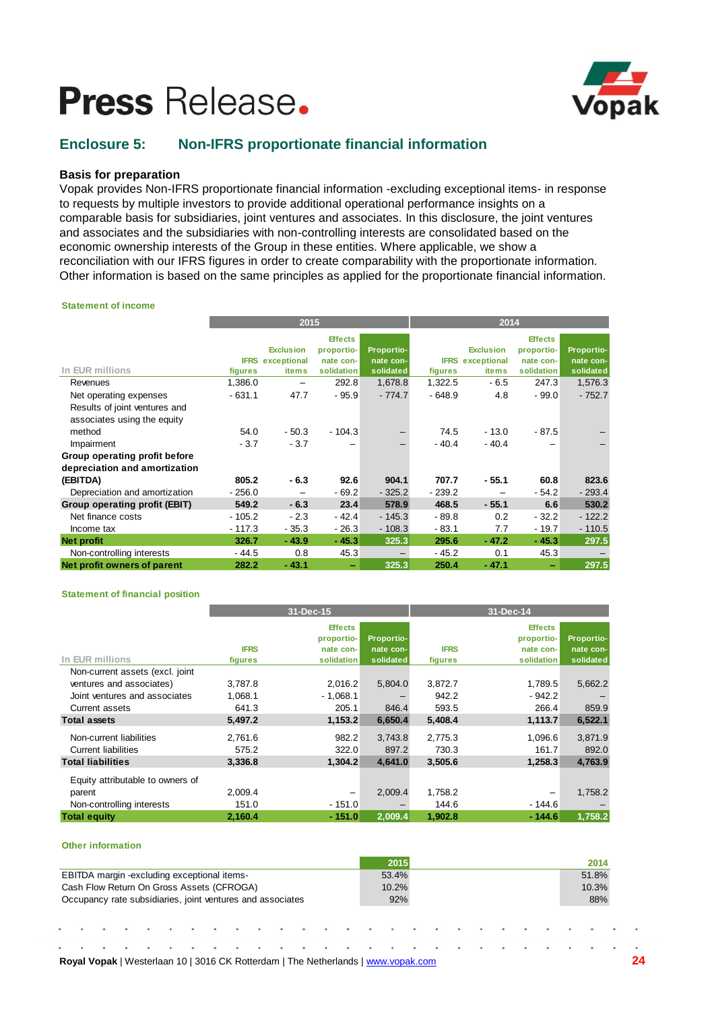

## **Enclosure 5: Non-IFRS proportionate financial information**

### **Basis for preparation**

Vopak provides Non-IFRS proportionate financial information -excluding exceptional items- in response to requests by multiple investors to provide additional operational performance insights on a comparable basis for subsidiaries, joint ventures and associates. In this disclosure, the joint ventures and associates and the subsidiaries with non-controlling interests are consolidated based on the economic ownership interests of the Group in these entities. Where applicable, we show a reconciliation with our IFRS figures in order to create comparability with the proportionate information. Other information is based on the same principles as applied for the proportionate financial information.

#### **Statement of income**

|                               |          | 2015                    |                |            | 2014     |                         |                |            |  |  |  |
|-------------------------------|----------|-------------------------|----------------|------------|----------|-------------------------|----------------|------------|--|--|--|
|                               |          |                         | <b>Effects</b> |            |          |                         | <b>Effects</b> |            |  |  |  |
|                               |          | <b>Exclusion</b>        | proportio-     | Proportio- |          | <b>Exclusion</b>        | proportio-     | Proportio- |  |  |  |
|                               |          | <b>IFRS</b> exceptional | nate con-      | nate con-  |          | <b>IFRS</b> exceptional | nate con-      | nate con-  |  |  |  |
| In EUR millions               | figures  | <b>items</b>            | solidation     | solidated  | figures  | items                   | solidation     | solidated  |  |  |  |
| Revenues                      | 1,386.0  |                         | 292.8          | 1,678.8    | 1,322.5  | $-6.5$                  | 247.3          | 1,576.3    |  |  |  |
| Net operating expenses        | $-631.1$ | 47.7                    | $-95.9$        | $-774.7$   | $-648.9$ | 4.8                     | $-99.0$        | $-752.7$   |  |  |  |
| Results of joint ventures and |          |                         |                |            |          |                         |                |            |  |  |  |
| associates using the equity   |          |                         |                |            |          |                         |                |            |  |  |  |
| method                        | 54.0     | $-50.3$                 | $-104.3$       | —          | 74.5     | $-13.0$                 | $-87.5$        |            |  |  |  |
| Impairment                    | $-3.7$   | $-3.7$                  |                |            | $-40.4$  | $-40.4$                 |                |            |  |  |  |
| Group operating profit before |          |                         |                |            |          |                         |                |            |  |  |  |
| depreciation and amortization |          |                         |                |            |          |                         |                |            |  |  |  |
| (EBITDA)                      | 805.2    | $-6.3$                  | 92.6           | 904.1      | 707.7    | $-55.1$                 | 60.8           | 823.6      |  |  |  |
| Depreciation and amortization | $-256.0$ |                         | $-69.2$        | $-325.2$   | $-239.2$ |                         | $-54.2$        | $-293.4$   |  |  |  |
| Group operating profit (EBIT) | 549.2    | $-6.3$                  | 23.4           | 578.9      | 468.5    | $-55.1$                 | 6.6            | 530.2      |  |  |  |
| Net finance costs             | $-105.2$ | $-2.3$                  | $-42.4$        | $-145.3$   | $-89.8$  | 0.2                     | $-32.2$        | $-122.2$   |  |  |  |
| Income tax                    | $-117.3$ | $-35.3$                 | $-26.3$        | $-108.3$   | $-83.1$  | 7.7                     | $-19.7$        | $-110.5$   |  |  |  |
| <b>Net profit</b>             | 326.7    | $-43.9$                 | $-45.3$        | 325.3      | 295.6    | $-47.2$                 | $-45.3$        | 297.5      |  |  |  |
| Non-controlling interests     | $-44.5$  | 0.8                     | 45.3           |            | $-45.2$  | 0.1                     | 45.3           |            |  |  |  |
| Net profit owners of parent   | 282.2    | $-43.1$                 | -              | 325.3      | 250.4    | $-47.1$                 |                | 297.5      |  |  |  |

#### **Statement of financial position**

|                                  |             | 31-Dec-15      |            | 31-Dec-14   |                |            |  |  |  |  |
|----------------------------------|-------------|----------------|------------|-------------|----------------|------------|--|--|--|--|
|                                  |             | <b>Effects</b> |            |             | <b>Effects</b> |            |  |  |  |  |
|                                  |             | proportio-     | Proportio- |             | proportio-     | Proportio- |  |  |  |  |
|                                  | <b>IFRS</b> | nate con-      | nate con-  | <b>IFRS</b> | nate con-      | nate con-  |  |  |  |  |
| In EUR millions                  | figures     | solidation     | solidated  | figures     | solidation     | solidated  |  |  |  |  |
| Non-current assets (excl. joint  |             |                |            |             |                |            |  |  |  |  |
| ventures and associates)         | 3,787.8     | 2,016.2        | 5,804.0    | 3,872.7     | 1,789.5        | 5,662.2    |  |  |  |  |
| Joint ventures and associates    | 1,068.1     | $-1,068.1$     |            | 942.2       | $-942.2$       |            |  |  |  |  |
| Current assets                   | 641.3       | 205.1          | 846.4      | 593.5       | 266.4          | 859.9      |  |  |  |  |
| <b>Total assets</b>              | 5,497.2     | 1,153.2        | 6,650.4    | 5,408.4     | 1,113.7        | 6,522.1    |  |  |  |  |
| Non-current liabilities          | 2,761.6     | 982.2          | 3,743.8    | 2,775.3     | 1,096.6        | 3,871.9    |  |  |  |  |
| <b>Current liabilities</b>       | 575.2       | 322.0          | 897.2      | 730.3       | 161.7          | 892.0      |  |  |  |  |
| <b>Total liabilities</b>         | 3.336.8     | 1.304.2        | 4.641.0    | 3,505.6     | 1,258.3        | 4,763.9    |  |  |  |  |
| Equity attributable to owners of |             |                |            |             |                |            |  |  |  |  |
| parent                           | 2,009.4     |                | 2,009.4    | 1,758.2     |                | 1,758.2    |  |  |  |  |
| Non-controlling interests        | 151.0       | $-151.0$       |            | 144.6       | $-144.6$       |            |  |  |  |  |
| <b>Total equity</b>              | 2,160.4     | $-151.0$       | 2,009.4    | 1,902.8     | $-144.6$       | 1,758.2    |  |  |  |  |

#### **Other information**

|                                                            |                                             |  |  |  |  |  |     |  |       |  |       |     | 2015 |       |  |       |  | 2014 |  |
|------------------------------------------------------------|---------------------------------------------|--|--|--|--|--|-----|--|-------|--|-------|-----|------|-------|--|-------|--|------|--|
|                                                            | EBITDA margin -excluding exceptional items- |  |  |  |  |  |     |  |       |  | 53.4% |     |      |       |  | 51.8% |  |      |  |
| Cash Flow Return On Gross Assets (CFROGA)                  |                                             |  |  |  |  |  |     |  | 10.2% |  |       |     |      | 10.3% |  |       |  |      |  |
| Occupancy rate subsidiaries, joint ventures and associates |                                             |  |  |  |  |  | 92% |  |       |  |       | 88% |      |       |  |       |  |      |  |
|                                                            |                                             |  |  |  |  |  |     |  |       |  |       |     |      |       |  |       |  |      |  |
| .                                                          |                                             |  |  |  |  |  |     |  |       |  |       |     |      |       |  |       |  |      |  |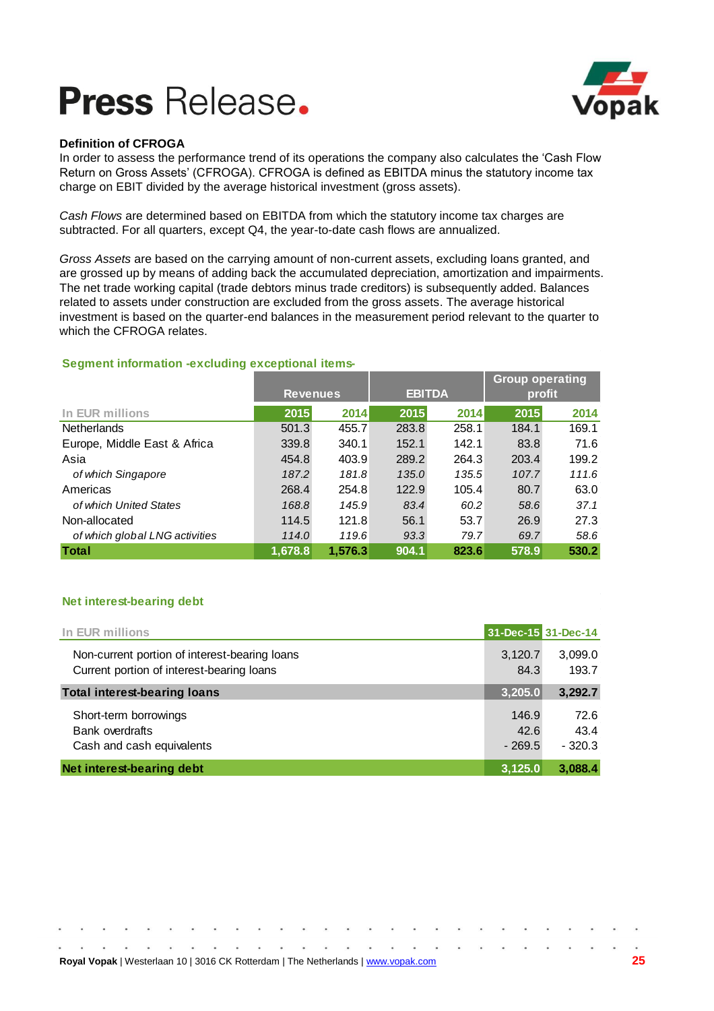



### **Definition of CFROGA**

In order to assess the performance trend of its operations the company also calculates the 'Cash Flow Return on Gross Assets' (CFROGA). CFROGA is defined as EBITDA minus the statutory income tax charge on EBIT divided by the average historical investment (gross assets).

*Cash Flows* are determined based on EBITDA from which the statutory income tax charges are subtracted. For all quarters, except Q4, the year-to-date cash flows are annualized.

*Gross Assets* are based on the carrying amount of non-current assets, excluding loans granted, and are grossed up by means of adding back the accumulated depreciation, amortization and impairments. The net trade working capital (trade debtors minus trade creditors) is subsequently added. Balances related to assets under construction are excluded from the gross assets. The average historical investment is based on the quarter-end balances in the measurement period relevant to the quarter to which the CFROGA relates.

### **Segment information -excluding exceptional items-**

|                                |                 |         |       |               | <b>Group operating</b> |       |  |  |
|--------------------------------|-----------------|---------|-------|---------------|------------------------|-------|--|--|
|                                | <b>Revenues</b> |         |       | <b>EBITDA</b> | profit                 |       |  |  |
| In EUR millions                | 2015            | 2014    | 2015  | 2014          | 2015                   | 2014  |  |  |
| <b>Netherlands</b>             | 501.3           | 455.7   | 283.8 | 258.1         | 184.1                  | 169.1 |  |  |
| Europe, Middle East & Africa   | 339.8           | 340.1   | 152.1 | 142.1         | 83.8                   | 71.6  |  |  |
| Asia                           | 454.8           | 403.9   | 289.2 | 264.3         | 203.4                  | 199.2 |  |  |
| of which Singapore             | 187.2           | 181.8   | 135.0 | 135.5         | 107.7                  | 111.6 |  |  |
| Americas                       | 268.4           | 254.8   | 122.9 | 105.4         | 80.7                   | 63.0  |  |  |
| of which United States         | 168.8           | 145.9   | 83.4  | 60.2          | 58.6                   | 37.1  |  |  |
| Non-allocated                  | 114.5           | 121.8   | 56.1  | 53.7          | 26.9                   | 27.3  |  |  |
| of which global LNG activities | 114.0           | 119.6   | 93.3  | 79.7          | 69.7                   | 58.6  |  |  |
| <b>Total</b>                   | 1.678.8         | 1.576.3 | 904.1 | 823.6         | 578.9                  | 530.2 |  |  |

### **Net interest-bearing debt**

| In EUR millions                               |          | 31-Dec-15 31-Dec-14 |
|-----------------------------------------------|----------|---------------------|
| Non-current portion of interest-bearing loans | 3,120.7  | 3,099.0             |
| Current portion of interest-bearing loans     | 84.3     | 193.7               |
| <b>Total interest-bearing loans</b>           | 3,205.0  | 3,292.7             |
| Short-term borrowings                         | 146.9    | 72.6                |
| <b>Bank overdrafts</b>                        | 42.6     | 43.4                |
| Cash and cash equivalents                     | $-269.5$ | $-320.3$            |
| Net interest-bearing debt                     | 3,125.0  | 3,088.4             |